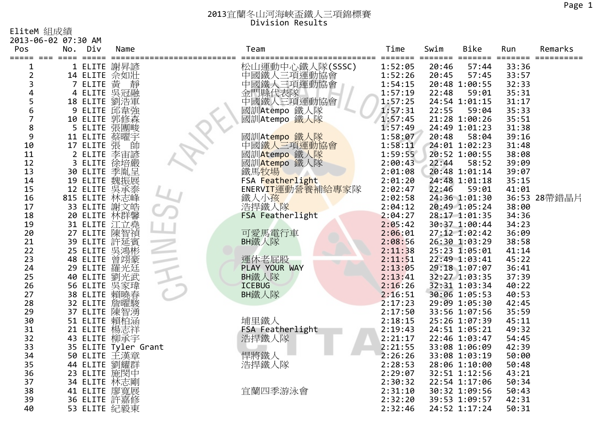EliteM 組成績

| Pos            | 2013-06-02 07:30 AM<br>No.<br>Div | Name | Team                 | Time<br>======= ======= == | Swim  | Bike            | Run<br>===== ======= ===== | Remarks      |
|----------------|-----------------------------------|------|----------------------|----------------------------|-------|-----------------|----------------------------|--------------|
| 1              | 1 ELITE 謝昇諺                       |      | 松山運動中心鐵人隊(SSSC)      | 1:52:05                    | 20:46 | 57:44           | 33:36                      |              |
| $\overline{2}$ |                                   |      | 中國鐵人三項運動協會           | 1:52:26                    | 20:45 | 57:45           | 33:57                      |              |
| 3              | 14 ELITE 佘如壯<br>7 ELITE 黃         |      | 中國鐵人三項運動協會           | 1:54:15                    |       | 20:48 1:00:55   | 32:33                      |              |
| 4              | 4 ELITE 吴冠融                       |      | 金門縣代表隊<br>中國鐵人三項運動協會 | 1:57:19                    | 22:48 | 59:01           | 35:31                      |              |
| 5              | 18 ELITE 劉浩軍                      |      |                      | 1:57:25                    |       | 24:54 1:01:15   | 31:17                      |              |
| 6              | 9 ELITE 邱韋強                       |      | 國訓Atempo 鐵人隊         | 1:57:31                    | 22:55 | 59:04           | 35:33                      |              |
| $\overline{7}$ | 10 ELITE 郭修森                      |      | 國訓Atempo 鐵人隊         | 1:57:45                    |       | 21:28 1:00:26   | 35:51                      |              |
| 8              | 5 ELITE 張團畯                       |      |                      | 1:57:49                    |       | 24:49 1:01:23   | 31:38                      |              |
| 9              | 11 ELITE 蔡曜宇                      |      | 國訓Atempo 鐵人隊         | 1:58:07                    | 20:48 | 58:04           | 39:16                      |              |
| 10             | 17 ELITE 張                        | 帥    | 中國鐵人三項運動協會           | 1:58:11                    |       | 24:01 1:02:23   | 31:48                      |              |
| 11             | 2 ELITE 李宙諺                       |      | 國訓Atempo 鐵人隊         | 1:59:55                    |       | 20:52 1:00:55   | 38:08                      |              |
| 12             | 3 ELITE 徐培嚴                       |      | 國訓Atempo 鐵人隊         | 2:00:43                    | 22:44 | 58:52           | 39:09                      |              |
| 13             | 30 ELITE 季胤呈                      |      | 鐵馬牧場                 | 2:01:08                    |       | 20:48 1:01:14   | 39:07                      |              |
| 14             | 19 ELITE 魏振展                      |      | FSA Featherlight     | 2:01:20                    |       | 24:48 1:01:18   | 35:15                      |              |
| 15             |                                   |      | ENERVIT運動營養補給專家隊     | 2:02:47                    | 22:46 | 59:01           | 41:01                      |              |
| 16             | 12 ELITE 吳承泰<br>815 ELITE 林志峰     |      | 鐵人小孩                 | 2:02:58                    |       | 24:36 1:01:30   |                            | 36:53 28帶錯晶片 |
| 17             | 33 ELITE 謝文皓                      |      | 浩捍鐵人隊                | 2:04:12                    |       | 20:49 1:05:24   | 38:00                      |              |
| 18             | 20 ELITE 林群馨                      |      | FSA Featherlight     | 2:04:27                    |       | 28:17 1:01:35   | 34:36                      |              |
| 19             | 31 ELITE 江立堯<br>27 ELITE 陳智禎      |      |                      | 2:05:42                    |       | 30:37 1:00:44   | 34:23                      |              |
| 20             |                                   |      | 可愛馬電行車               | 2:06:01                    |       | 27:12 1:02:42   | 36:09                      |              |
| 21             | 39 ELITE 許延賓                      |      | BH鐵人隊                | 2:08:56                    |       | 26:30 1:03:29   | 38:58                      |              |
| 22             | 25 ELITE 吳鴻彬                      |      |                      | 2:11:38                    |       | $25:23$ 1:05:01 | 41:14                      |              |
| 23             | 48 ELITE 曾翊豪<br>29 ELITE 羅光廷      |      | 運休老屁股                | 2:11:51                    |       | 22:49 1:03:41   | 45:22                      |              |
| 24             |                                   |      | PLAY YOUR WAY        | 2:13:05                    |       | 29:18 1:07:07   | 36:41                      |              |
| 25             | 40 ELITE 劉光武                      |      | BH鐵人隊                | 2:13:41                    |       | 32:27 1:03:35   | 37:39                      |              |
| 26             | 56 ELITE 吴家瑋                      |      | <b>ICEBUG</b>        | 2:16:26                    |       | 32:31 1:03:34   | 40:22                      |              |
| 27             | 38 ELITE 賴曉春                      |      | BH鐵人隊                | 2:16:51                    |       | 30:06 1:05:53   | 40:53                      |              |
| 28             | 32 ELITE 詹曜駿                      |      |                      | 2:17:23                    |       | 29:09 1:05:30   | 42:45                      |              |
| 29             | 37 ELITE 陳智湧                      |      |                      | 2:17:50                    |       | 33:56 1:07:56   | 35:59                      |              |
| 30             | 51 ELITE 賴柏涵                      |      | 埔里鐵人                 | 2:18:15                    |       | 25:26 1:07:39   | 45:11                      |              |
| 31             | 21 ELITE 楊志祥                      |      | FSA Featherlight     | 2:19:43                    |       | 24:51 1:05:21   | 49:32                      |              |
| 32             | 43 ELITE 柳承宇                      |      | 浩捍鐵人隊                | 2:21:17                    |       | 22:46 1:03:47   | 54:45                      |              |
| 33             | 35 ELITE Tyler Grant              |      |                      | 2:21:55                    |       | 33:08 1:06:09   | 42:39                      |              |
| 34             | 50 ELITE 王漢章                      |      | 悍將鐵人                 | 2:26:26                    |       | 33:08 1:03:19   | 50:00                      |              |
| 35             | 44 ELITE 劉耀群                      |      | 浩捍鐵人隊                | 2:28:53                    |       | 28:06 1:10:00   | 50:48                      |              |
| 36             | 23 ELITE 施閔中                      |      |                      | 2:29:07                    |       | 32:51 1:12:56   | 43:21                      |              |
| 37             | 34 ELITE 林志剛                      |      |                      | 2:30:32                    |       | 22:54 1:17:06   | 50:34                      |              |
| 38             | 41 ELITE 廖寬展                      |      | 宜蘭四季游泳會              | 2:31:10                    |       | 30:32 1:09:56   | 50:43                      |              |
| 39             | 36 ELITE 許嘉修                      |      |                      | 2:32:20                    |       | 39:53 1:09:57   | 42:31                      |              |
| 40             | 53 ELITE 紀毅東                      |      |                      | 2:32:46                    |       | 24:52 1:17:24   | 50:31                      |              |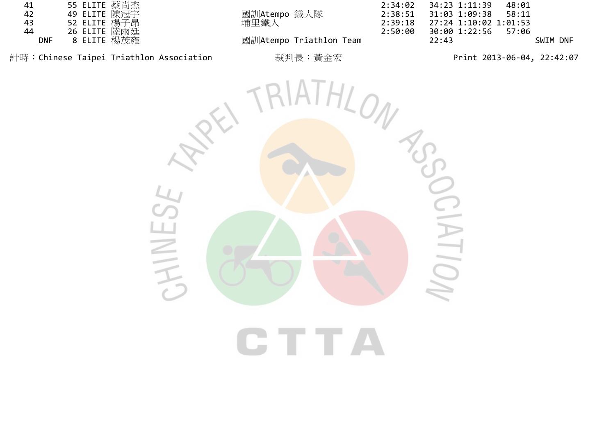| 41  | 55 ELITE 蔡尚杰 |
|-----|--------------|
| 42  | 49 ELITE 陳冠宇 |
| 43  | 52 ELITE 楊子昂 |
| 44  | 26 ELITE 陸雨廷 |
| DNF | 8 ELITE 楊茂雍  |

國訓Atempo 鐵人隊<br>埔里鐵人

2:34:02 34:23 1:11:39 48:01<br>2:38:51 31:03 1:09:38 58:11<br>2:39:18 27:24 1:10:02 1:01:53 2:39:18 27:24 1:10:02 1:01:53<br>2:50:00 30:00 1:22:56 57:06 30:00 1:22:56<br>22:43 **國訓Atempo Triathlon Team 22:43 SWIM DNF** 

計時:Chinese Taipei Triathlon Association 裁判長:黃金宏 Print <sup>2013</sup>‐06‐04, 22:42:07

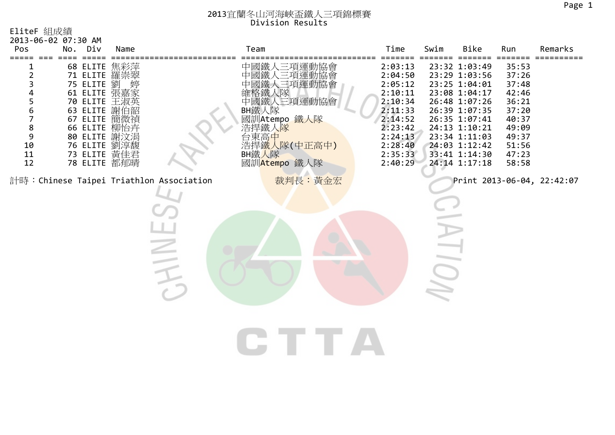| EliteF 組成績                                                                                        |                                                                                                                                                                                        |      |                                                                           |                                                                                                                                                          |                                                                                                                                  |      |                                                                                                                                                                                                          |                                                                                                          |                            |
|---------------------------------------------------------------------------------------------------|----------------------------------------------------------------------------------------------------------------------------------------------------------------------------------------|------|---------------------------------------------------------------------------|----------------------------------------------------------------------------------------------------------------------------------------------------------|----------------------------------------------------------------------------------------------------------------------------------|------|----------------------------------------------------------------------------------------------------------------------------------------------------------------------------------------------------------|----------------------------------------------------------------------------------------------------------|----------------------------|
| 2013-06-02 07:30 AM<br>Pos                                                                        | No. Div                                                                                                                                                                                | Name |                                                                           | Team                                                                                                                                                     | Time                                                                                                                             | Swim | Bike                                                                                                                                                                                                     | Run                                                                                                      | Remarks                    |
| $\overline{2}$<br>3<br>4<br>$\frac{5}{6}$<br>$\overline{7}$<br>8<br>$\mathsf 9$<br>10<br>11<br>12 | 68 ELITE<br>71 ELITE 羅崇翠<br>75 ELITE 劉<br>61 ELITE 張嘉家<br>70 ELITE 王淑英<br>63 ELITE 謝伯韶<br>67 ELITE 簡微禎<br>66 ELITE 柳怡卉<br>80 ELITE 謝汶涓<br>76 ELITE 劉淳馥<br>73 ELITE 黃佳君<br>78 ELITE 都郁晴 | 焦彩萍  |                                                                           | 中國鐵人三項運動協會<br>三項運動協會<br>中國鐵<br>三項運動協會<br>人隊<br>中國鐵人三項運動協會<br>BH鐵人隊<br>國訓Atempo 鐵人隊<br>浩捍鐵人隊<br><del>{</del> 占東高中<br>浩捍鐵人隊(中正高中)<br>BH鐵人隊<br>國訓Atempo 鐵人隊 | 2:03:13<br>2:04:50<br>2:05:12<br>2:10:11<br>2:10:34<br>2:11:33<br>2:14:52<br>2:23:42<br>2:24:13<br>2:28:40<br>2:35:33<br>2:40:29 |      | 23:32 1:03:49<br>23:29 1:03:56<br>23:25 1:04:01<br>23:08 1:04:17<br>26:48 1:07:26<br>26:39 1:07:35<br>26:35 1:07:41<br>24:13 1:10:21<br>23:34 1:11:03<br>24:03 1:12:42<br>33:41 1:14:30<br>24:14 1:17:18 | 35:53<br>37:26<br>37:48<br>42:46<br>36:21<br>37:20<br>40:37<br>49:09<br>49:37<br>51:56<br>47:23<br>58:58 |                            |
|                                                                                                   |                                                                                                                                                                                        |      | 計時: Chinese Taipei Triathlon Association<br>$\Leftarrow$<br>$\Rightarrow$ | 裁判長:黃金宏                                                                                                                                                  |                                                                                                                                  |      |                                                                                                                                                                                                          |                                                                                                          | Print 2013-06-04, 22:42:07 |
|                                                                                                   |                                                                                                                                                                                        |      |                                                                           |                                                                                                                                                          |                                                                                                                                  |      |                                                                                                                                                                                                          |                                                                                                          |                            |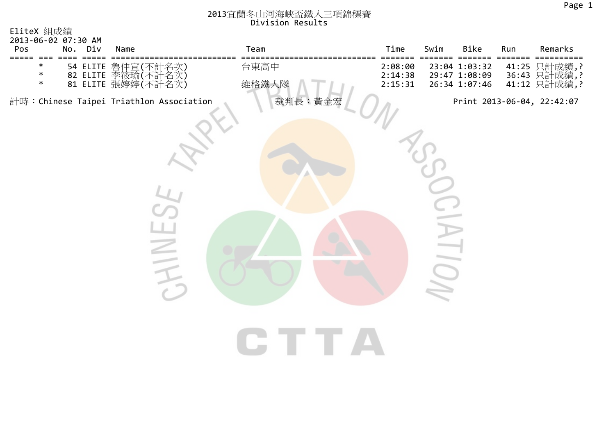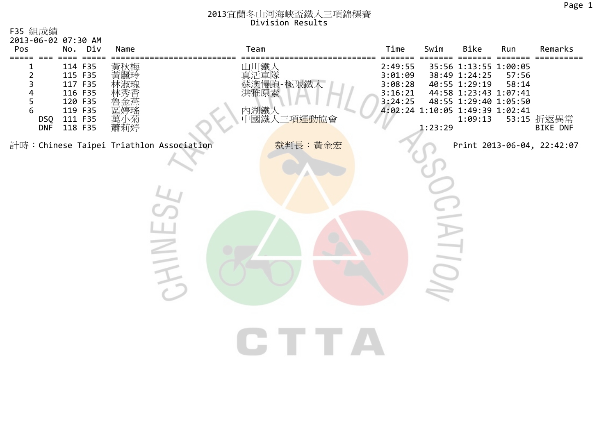| F35 組成績<br>2013-06-02 07:30 AM |                                                                                      |                                                                                                                                      |                                                      |                                                                        |                |                                                     |         |                                                                                                                                                         |                |                               |
|--------------------------------|--------------------------------------------------------------------------------------|--------------------------------------------------------------------------------------------------------------------------------------|------------------------------------------------------|------------------------------------------------------------------------|----------------|-----------------------------------------------------|---------|---------------------------------------------------------------------------------------------------------------------------------------------------------|----------------|-------------------------------|
| Pos                            | No. Div                                                                              | Name                                                                                                                                 |                                                      | Team                                                                   |                | Time                                                | Swim    | Bike                                                                                                                                                    | Run            | Remarks                       |
| 23456<br>DSQ<br><b>DNF</b>     | 114 F35<br>115 F35<br>117 F35<br>116 F35<br>120 F35<br>119 F35<br>111 F35<br>118 F35 | 黃秋梅<br>黃麗玲<br>林木涂以井<br>區<br><br><br><br><br><br><br><br><br><br><br><br><br><br><br><br><br><br><br><br><br><br><br><br><br><br><br> |                                                      | 山川鐵人<br>真活車隊<br>蘇澳慢跑-極限鐵人<br>洪雅原素<br>內湖鐵人<br>中國鐵人三 <mark>項運動協</mark> 會 |                | 2:49:55<br>3:01:09<br>3:08:28<br>3:16:21<br>3:24:25 | 1:23:29 | 35:56 1:13:55 1:00:05<br>38:49 1:24:25<br>40:55 1:29:19<br>44:58 1:23:43 1:07:41<br>48:55 1:29:40 1:05:50<br>4:02:24 1:10:05 1:49:39 1:02:41<br>1:09:13 | 57:56<br>58:14 | 53:15 折返異常<br><b>BIKE DNF</b> |
|                                |                                                                                      |                                                                                                                                      | 計時: Chinese Taipei Triathlon Association<br>$\equiv$ |                                                                        | 裁判長:黃金宏<br>T T |                                                     |         |                                                                                                                                                         |                | Print 2013-06-04, 22:42:07    |
|                                |                                                                                      |                                                                                                                                      |                                                      |                                                                        |                |                                                     |         |                                                                                                                                                         |                |                               |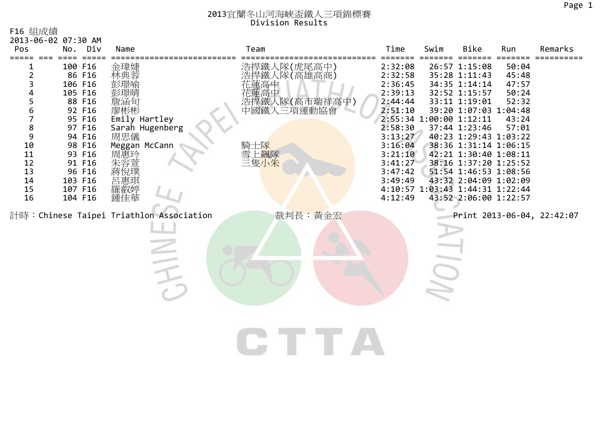|  | F16 組成績 |
|--|---------|
|--|---------|

| 2013-06-02 07:30 AM<br>Pos                                           | No. Div                                                                                                                                                            | Name                                                                                                      |                                          | Team                        |                                                                      | Time                                                                                                                                                   | Swim | <b>Bike</b>                                                                                                                                                                                                                                                                                                                                                              | Run                                                         | Remarks                    |
|----------------------------------------------------------------------|--------------------------------------------------------------------------------------------------------------------------------------------------------------------|-----------------------------------------------------------------------------------------------------------|------------------------------------------|-----------------------------|----------------------------------------------------------------------|--------------------------------------------------------------------------------------------------------------------------------------------------------|------|--------------------------------------------------------------------------------------------------------------------------------------------------------------------------------------------------------------------------------------------------------------------------------------------------------------------------------------------------------------------------|-------------------------------------------------------------|----------------------------|
| 2<br>3<br>5<br>6<br>8<br>9<br>10<br>11<br>12<br>13<br>14<br>15<br>16 | 100 F16<br>86 F16<br>106 F16<br>105 F16<br>88 F16<br>92 F16<br>95 F16<br>97 F16<br>94 F16<br>98 F16<br>93 F16<br>91 F16<br>96 F16<br>103 F16<br>107 F16<br>104 F16 | 金瑋婕<br>林典蓉<br>詹涵旬<br>廖彬彬<br>Emily Hartley<br>Sarah Hugenberg<br>周思儀<br>Meggan McCann<br>周惠玲<br>羅叡婷<br>鍾佳華 | 計時: Chinese Taipei Triathlon Association | 化蓮高中<br>騎士隊<br>雪上飆隊<br>三隻小朱 | 浩捍鐵人隊(虎尾高中)<br>浩捍鐵人隊(高雄高商)<br>浩捍鐵人隊(高市瑞祥高中)<br>中國鐵人三項運動協會<br>裁判長:黃金宏 | 2:32:08<br>2:32:58<br>2:36:45<br>2:39:13<br>2:44:44<br>2:51:10<br>2:58:30<br>3:13:27<br>3:16:04<br>3:21:10<br>3:41:27<br>3:47:42<br>3:49:49<br>4:12:49 |      | 26:57 1:15:08<br>35:28 1:11:43<br>34:35 1:14:14<br>32:52 1:15:57<br>33:11 1:19:01<br>39:20 1:07:03 1:04:48<br>2:55:34 1:00:00 1:12:11<br>37:44 1:23:46<br>40:23 1:29:43 1:03:22<br>38:36 1:31:14 1:06:15<br>42:21 1:30:40 1:08:11<br>38:16 1:37:20 1:25:52<br>51:54 1:46:53 1:08:56<br>43:32 2:04:09 1:02:09<br>4:10:57 1:03:43 1:44:31 1:22:44<br>43:52 2:06:00 1:22:57 | 50:04<br>45:48<br>47:57<br>50:24<br>52:32<br>43:24<br>57:01 | Print 2013-06-04, 22:42:07 |
|                                                                      |                                                                                                                                                                    |                                                                                                           |                                          |                             |                                                                      |                                                                                                                                                        |      |                                                                                                                                                                                                                                                                                                                                                                          |                                                             |                            |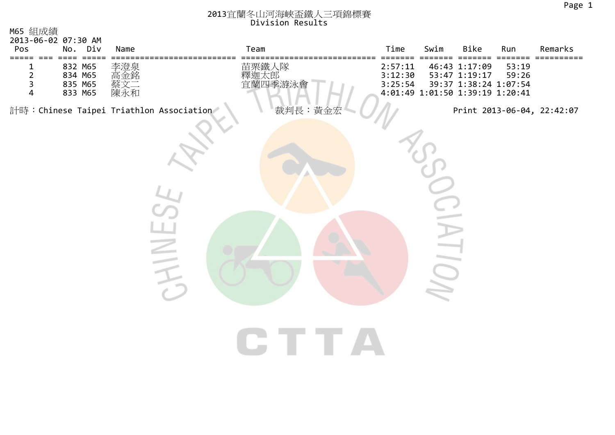| M65 組成績<br>2013-06-02 07:30 AM<br>Pos                                                             | No. Div                                                     | Name                     | Team                                                                        | Time                          | Swim | Bike                                                                                       | Run            | Remarks                    |
|---------------------------------------------------------------------------------------------------|-------------------------------------------------------------|--------------------------|-----------------------------------------------------------------------------|-------------------------------|------|--------------------------------------------------------------------------------------------|----------------|----------------------------|
| =====<br>$=$ $=$ $=$<br>1<br>$\overline{2}$<br>$\overline{\mathbf{3}}$<br>$\overline{\mathbf{4}}$ | $=$ $=$ $=$ $=$<br>832 M65<br>834 M65<br>835 M65<br>833 M65 | 李澄泉<br>高金銘<br>蔡文二<br>陳永和 | 苗栗鐵人隊<br>釋迦太郎<br>宜蘭四季游泳會                                                    | 2:57:11<br>3:12:30<br>3:25:54 |      | 46:43 1:17:09<br>53:47 1:19:17<br>39:37 1:38:24 1:07:54<br>4:01:49 1:01:50 1:39:19 1:20:41 | 53:19<br>59:26 |                            |
|                                                                                                   |                                                             |                          | 裁判長:黃金宏<br>計時: Chinese Taipei Triathlon Association<br>HI<br>CHE TELEVISION |                               |      |                                                                                            |                | Print 2013-06-04, 22:42:07 |
|                                                                                                   |                                                             |                          |                                                                             |                               |      |                                                                                            |                |                            |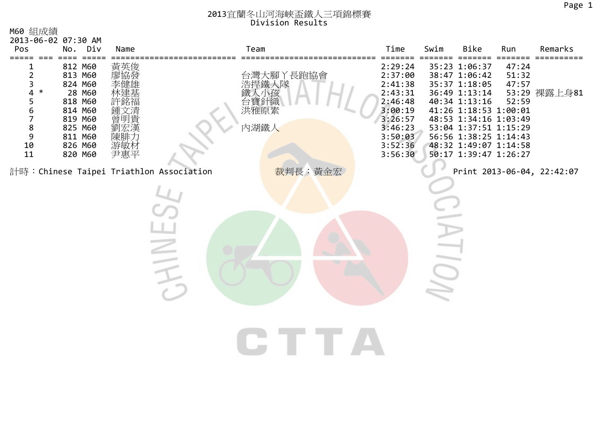| M60 組成績                                               |                                                                                                                      |                                 |                                          |                                            |                                                                                                                       |      |                                                                                                                                                                                                                                         |                                  |                            |
|-------------------------------------------------------|----------------------------------------------------------------------------------------------------------------------|---------------------------------|------------------------------------------|--------------------------------------------|-----------------------------------------------------------------------------------------------------------------------|------|-----------------------------------------------------------------------------------------------------------------------------------------------------------------------------------------------------------------------------------------|----------------------------------|----------------------------|
| 2013-06-02 07:30 AM<br>Pos                            | No. Div                                                                                                              | Name                            | Team                                     |                                            | Time                                                                                                                  | Swim | Bike                                                                                                                                                                                                                                    | Run                              | Remarks                    |
| 2<br>3<br>4<br>∗<br>5<br>6<br>7<br>8<br>9<br>10<br>11 | 812 M60<br>813 M60<br>824 M60<br>28 M60<br>818 M60<br>814 M60<br>819 M60<br>825 M60<br>811 M60<br>826 M60<br>820 M60 | 黃英俊<br>廖協發<br>陳腓ナ<br>游敏材<br>尹惠平 |                                          | 台灣大腳丫長跑協會<br>浩捍鐵人隊<br>台寶針織<br>洪雅原素<br>內湖鐵人 | 2:29:24<br>2:37:00<br>2:41:38<br>2:43:31<br>2:46:48<br>3:00:19<br>3:26:57<br>3:46:23<br>3:50:03<br>3:52:36<br>3:56:30 |      | 35:23 1:06:37<br>38:47 1:06:42<br>35:37 1:18:05<br>36:49 1:13:14<br>40:34 1:13:16<br>41:26 1:18:53 1:00:01<br>48:53 1:34:16 1:03:49<br>53:04 1:37:51 1:15:29<br>56:56 1:38:25 1:14:43<br>48:32 1:49:07 1:14:58<br>50:17 1:39:47 1:26:27 | 47:24<br>51:32<br>47:57<br>52:59 | 53:29 裸露上身81               |
|                                                       |                                                                                                                      |                                 | 計時: Chinese Taipei Triathlon Association | 裁判長:黃金宏                                    |                                                                                                                       |      |                                                                                                                                                                                                                                         |                                  | Print 2013-06-04, 22:42:07 |
|                                                       |                                                                                                                      |                                 | $\equiv$                                 |                                            |                                                                                                                       |      |                                                                                                                                                                                                                                         |                                  |                            |
|                                                       |                                                                                                                      |                                 |                                          |                                            |                                                                                                                       |      |                                                                                                                                                                                                                                         |                                  |                            |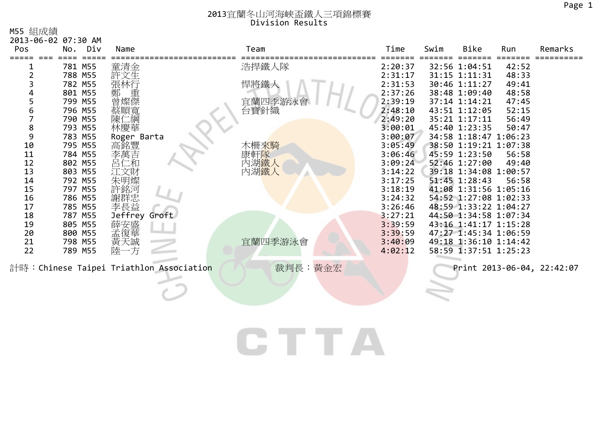M55 組成績

|                | 2013-06-02 07:30 AM |                    |                                         |                 |                    |      |                                                |       |                            |
|----------------|---------------------|--------------------|-----------------------------------------|-----------------|--------------------|------|------------------------------------------------|-------|----------------------------|
| Pos            | No. Div             | Name               |                                         | Team            | Time               | Swim | <b>Bike</b>                                    | Run   | Remarks                    |
|                | 781 M55             |                    |                                         | 浩捍鐵人隊           | 2:20:37            |      | 32:56 1:04:51                                  | 42:52 |                            |
| 2              | 788 M55             | 童清金<br>許文生         |                                         |                 | 2:31:17            |      | 31:15 1:11:31                                  | 48:33 |                            |
| 3              | 782 M55             | 張林行                |                                         | 悍將鐵人            | 2:31:53            |      | 30:46 1:11:27                                  | 49:41 |                            |
|                | 801 M55             | 鄭 重                |                                         |                 | 2:37:26            |      | 38:48 1:09:40                                  | 48:58 |                            |
| 5              | 799 M55             |                    |                                         | 宜蘭四季游泳會<br>台寶針織 | 2:39:19            |      | 37:14 1:14:21                                  | 47:45 |                            |
| 6              | 796 M55             | 蔡順寬                |                                         |                 | 2:48:10            |      | 43:51 1:12:05                                  | 52:15 |                            |
| $\overline{7}$ | 790 M55             | 1綱<br>陳仁           |                                         |                 | 2:49:20            |      | 35:21 1:17:11                                  | 56:49 |                            |
| 8<br>9         | 793 M55             | 林慶華                |                                         |                 | 3:00:01            |      | 45:40 1:23:35                                  | 50:47 |                            |
| 10             | 783 M55<br>795 M55  | Roger Barta<br>高銘豐 |                                         | 木柵來騎            | 3:00:07<br>3:05:49 |      | 34:58 1:18:47 1:06:23<br>38:50 1:19:21 1:07:38 |       |                            |
| 11             | 784 M55             | 李萬吉                |                                         | 康軒隊             | 3:06:46            |      | 45:59 1:23:50                                  | 56:58 |                            |
| 12             | 802 M55             | 呂仁和                |                                         | 內湖鐵人            | 3:09:24            |      | 52:46 1:27:00                                  | 49:40 |                            |
| 13             | 803 M55             | 江文財                |                                         | 內湖鐵人            | 3:14:22            |      | 39:18 1:34:08 1:00:57                          |       |                            |
| 14             | 792 M55             | 朱明燦                |                                         |                 | 3:17:25            |      | 51:45 1:28:43                                  | 56:58 |                            |
| 15             | 797 M55             | 許銘河                |                                         |                 | 3:18:19            |      | 41:08 1:31:56 1:05:16                          |       |                            |
| 16             | 786 M55             | 謝群忠                |                                         |                 | 3:24:32            |      | 54:52 1:27:08 1:02:33                          |       |                            |
| 17             | 785 M55             | 李長益                |                                         |                 | 3:26:46            |      | 48:59 1:33:22 1:04:27                          |       |                            |
| 18             | 787 M55             | Jeffrey Groft      |                                         |                 | 3:27:21            |      | 44:50 1:34:58 1:07:34                          |       |                            |
| 19             | 805 M55             | 薛安盛<br>孟復華         |                                         |                 | 3:39:59<br>3:39:59 |      | 43:16 1:41:17 1:15:28                          |       |                            |
| 20<br>21       | 800 M55<br>798 M55  | 黃天誠                |                                         | 宜蘭四季游泳會         | 3:40:09            |      | 47:27 1:45:34 1:06:59<br>49:18 1:36:10 1:14:42 |       |                            |
| 22             | 789 M55             | 陸-<br>一方           |                                         |                 | 4:02:12            |      | 58:59 1:37:51 1:25:23                          |       |                            |
|                |                     |                    |                                         |                 |                    |      |                                                |       |                            |
|                |                     |                    | 計時:Chinese Taipei Triathlon Association | 裁判長:黃金宏         |                    |      |                                                |       | Print 2013-06-04, 22:42:07 |
|                |                     |                    |                                         |                 |                    |      |                                                |       |                            |
|                |                     |                    |                                         |                 |                    |      |                                                |       |                            |
|                |                     |                    |                                         |                 |                    |      |                                                |       |                            |
|                |                     |                    |                                         |                 |                    |      |                                                |       |                            |
|                |                     |                    |                                         |                 |                    |      |                                                |       |                            |
|                |                     |                    |                                         |                 |                    |      |                                                |       |                            |
|                |                     |                    |                                         |                 |                    |      |                                                |       |                            |
|                |                     |                    |                                         |                 |                    |      |                                                |       |                            |
|                |                     |                    |                                         |                 |                    |      |                                                |       |                            |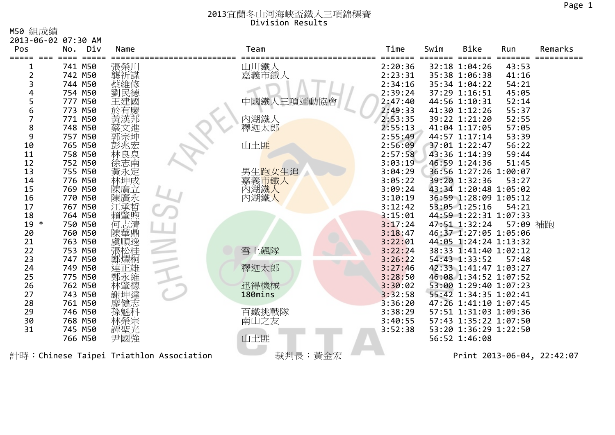M50 組成績

|        | 2013-06-02 07:30 AM                     |           |                |         |      |                       |          |                            |
|--------|-----------------------------------------|-----------|----------------|---------|------|-----------------------|----------|----------------------------|
| Pos    | Div<br>No.                              | Name      | Team           | Time    | Swim | <b>Bike</b>           | Run      | Remarks                    |
|        | $=$ $=$ $=$ $=$                         |           |                |         |      |                       |          |                            |
|        | 741 M50                                 | 張榮川       | 山川鐵人           | 2:20:36 |      | 32:18 1:04:26         | 43:53    |                            |
| 2      | 742 M50                                 | 龔祈謀       | 嘉義市鐵人          | 2:23:31 |      | 35:38 1:06:38         | 41:16    |                            |
| 3      | 744 M50                                 |           |                | 2:34:16 |      | 35:34 1:04:22         | 54:21    |                            |
|        | 754 M50                                 |           |                | 2:39:24 |      | 37:29 1:16:51         | 45:05    |                            |
| 5      | 777 M50                                 |           | 三項運動協會<br>中國鐵人 | 2:47:40 |      | 44:56 1:10:31         | 52:14    |                            |
| 6      | 773 M50                                 |           |                | 2:49:33 |      | 41:30 1:12:26         | 55:37    |                            |
| 7      | 771 M50                                 |           | 內湖鐵人           | 2:53:35 |      | 39:22 1:21:20         | 52:55    |                            |
| 8      | 748 M50                                 |           | 釋迦太郎           | 2:55:13 |      | 41:04 1:17:05         | 57:05    |                            |
| 9      | 757 M50                                 | 郭宗坤       |                | 2:55:49 |      | 44:57 1:17:14         | 53:39    |                            |
| 10     | 765 M50                                 | 彭兆宏       | 山土匪            | 2:56:09 |      | 37:01 1:22:47         | 56:22    |                            |
| 11     | 758 M50                                 | 林良泉       |                | 2:57:58 |      | 43:36 1:14:39         | 59:44    |                            |
| 12     | 752 M50                                 |           |                | 3:03:19 |      | 46:59 1:24:36         | 51:45    |                            |
| 13     | 755 M50                                 | 黃永定       | 男生跑女生追         | 3:04:29 |      | 36:56 1:27:26 1:00:07 |          |                            |
| 14     | 776 M50                                 | 林坤成       | 嘉義市鐵人          | 3:05:22 |      | 39:20 1:32:36         | 53:27    |                            |
| 15     | 769 M50                                 | 陳廣立       | 內湖鐵人           | 3:09:24 |      | 43:34 1:20:48 1:05:02 |          |                            |
| 16     | 770 M50                                 | 陳廣永       | 內湖鐵人           | 3:10:19 |      | 36:59 1:28:09 1:05:12 |          |                            |
| 17     | 767 M50                                 | 工承哲       |                | 3:12:42 |      | 53:05 1:25:16         | 54:21    |                            |
| 18     | 764 M50                                 | 肇煦        |                | 3:15:01 |      | 44:59 1:22:31 1:07:33 |          |                            |
| $19 *$ | 750 M50                                 | 志清<br>1⊐l |                | 3:17:24 |      | 47:51 1:32:24         | 57:09 補跑 |                            |
| 20     | 760 M50                                 |           |                | 3:18:47 |      | 46:37 1:27:05 1:05:06 |          |                            |
| 21     | 763 M50                                 | 頂逸        |                | 3:22:01 |      | 44:05 1:24:24 1:13:32 |          |                            |
| 22     | 753 M50                                 | 張松桂       | 雪上飆隊           | 3:22:24 |      | 38:33 1:41:40 1:02:12 |          |                            |
| 23     | 747 M50                                 | 鄭燿桐       |                | 3:26:22 |      | 54:43 1:33:52         | 57:48    |                            |
| 24     | 749 M50                                 | 正雄        | 釋迦太郎           | 3:27:46 |      | 42:33 1:41:47 1:03:27 |          |                            |
| 25     | 775 M50                                 | く維        |                | 3:28:50 |      | 46:08 1:34:52 1:07:52 |          |                            |
| 26     | 762 M50                                 | 筆德        | 迅得機械           | 3:30:02 |      | 53:00 1:29:40 1:07:23 |          |                            |
| 27     | 743 M50                                 |           | 180mins        | 3:32:58 |      | 55:42 1:34:35 1:02:41 |          |                            |
| 28     | 761 M50                                 | 廖健志       |                | 3:36:20 |      | 47:26 1:41:10 1:07:45 |          |                            |
| 29     | 746 M50                                 |           | 百鐵挑戰隊          | 3:38:29 |      | 57:51 1:31:03 1:09:36 |          |                            |
| 30     | 768 M50                                 |           | 南山之友           | 3:40:55 |      | 57:43 1:35:22 1:07:50 |          |                            |
| 31     | 745 M50                                 | 譚聖光       |                | 3:52:38 |      | 53:20 1:36:29 1:22:50 |          |                            |
|        | 766 M50                                 | 尹國強       | 山土匪            |         |      | 56:52 1:46:08         |          |                            |
|        | 計時:Chinese Taipei Triathlon Association |           | 裁判長:黃金宏        |         |      |                       |          | Print 2013-06-04, 22:42:07 |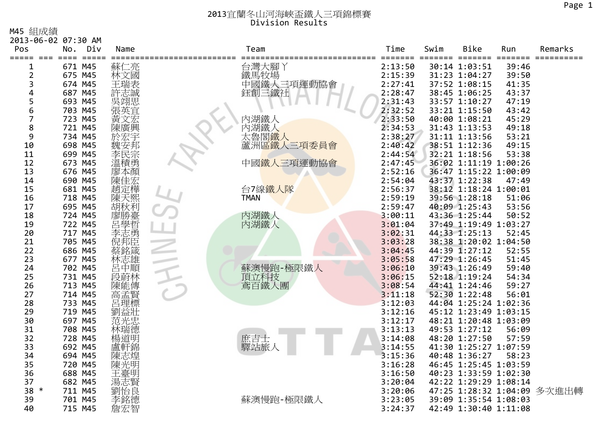M45 組成績

| 2013-06-02 07:30 AM |         |                 |      |                             |         |      |                       |       |                             |
|---------------------|---------|-----------------|------|-----------------------------|---------|------|-----------------------|-------|-----------------------------|
| Pos                 | No.     | Div             | Name | Team                        | Time    | Swim | <b>Bike</b>           | Run   | Remarks                     |
| =====<br>1          | 671 M45 | $=$ $=$ $=$ $=$ | 蘇仁亮  |                             | 2:13:50 |      | 30:14 1:03:51         | 39:46 |                             |
| 2                   | 675 M45 |                 | 林文國  |                             | 2:15:39 |      | 31:23 1:04:27         | 39:50 |                             |
| 3                   | 674 M45 |                 |      | 台灣大腳丫<br>鐵馬牧場<br>中國鐵人三項運動協會 | 2:27:41 |      | 37:52 1:08:15         | 41:35 |                             |
| 4                   | 687 M45 |                 | 許志誠  | 鈺創三鐵社                       | 2:28:47 |      | 38:45 1:06:25         | 43:37 |                             |
| 5                   | 693 M45 |                 | 吳翊思  |                             | 2:31:43 |      | 33:57 1:10:27         | 47:19 |                             |
| 6                   | 703 M45 |                 | 張英官  |                             | 2:32:52 |      | 33:21 1:15:50         | 43:42 |                             |
| 7                   | 723 M45 |                 |      | 內湖鐵人                        | 2:33:50 |      | 40:00 1:08:21         | 45:29 |                             |
| 8                   | 721 M45 |                 | 陳廣興  | 內湖鐵人                        | 2:34:53 |      | 31:43 1:13:53         | 49:18 |                             |
| 9                   | 734 M45 |                 |      | 太魯閣鐵人                       | 2:38:27 |      | 31:11 1:13:56         | 53:21 |                             |
| 10                  | 698 M45 |                 | 安邦   | 蘆洲區鐵人三項委員會                  | 2:40:42 |      | 38:51 1:12:36         | 49:15 |                             |
| 11                  | 699 M45 |                 | 李民宗  |                             | 2:44:54 |      | 32:21 1:18:56         | 53:38 |                             |
| 12                  | 673 M45 |                 | 溫積勇  | 中國鐵人三項運動協會                  | 2:47:45 |      | 36:02 1:11:19 1:00:26 |       |                             |
| 13                  | 676 M45 |                 |      |                             | 2:52:16 |      | 36:47 1:15:22 1:00:09 |       |                             |
| 14                  | 690 M45 |                 | 陳佳宏  |                             | 2:54:04 |      | 43:37 1:22:38         | 47:49 |                             |
| 15                  | 681 M45 |                 | 趙定樺  | 台7線鐵人隊                      | 2:56:37 |      | 38:12 1:18:24 1:00:01 |       |                             |
| 16                  | 718 M45 |                 | 陳天熙  | <b>TMAN</b>                 | 2:59:19 |      | 39:56 1:28:18         | 51:06 |                             |
| 17                  | 695 M45 |                 | 胡秋利  |                             | 2:59:47 |      | 40:09 1:25:43         | 53:56 |                             |
| 18                  | 724 M45 |                 | 廖勝臺  |                             | 3:00:11 |      | 43:36 1:25:44         | 50:52 |                             |
| 19                  | 722 M45 |                 | 呂學哲  | 內湖鐵人<br>內湖鐵人                | 3:01:04 |      | 37:49 1:19:49 1:03:27 |       |                             |
| 20                  | 717 M45 |                 | 李志勇  |                             | 3:02:31 |      | 44:33 1:25:13         | 52:45 |                             |
| 21                  | 705 M45 |                 | 倪邦臣  |                             | 3:03:28 |      | 38:38 1:20:02 1:04:50 |       |                             |
| 22                  | 686 M45 |                 |      |                             | 3:04:45 |      | 44:39 1:27:12         | 52:55 |                             |
| 23                  | 677 M45 |                 | 林志雄  |                             | 3:05:58 |      | 47:29 1:26:45         | 51:45 |                             |
| 24                  | 702 M45 |                 | 呂中順  | 蘇澳慢跑-極限鐵人                   | 3:06:10 |      | 39:43 1:26:49         | 59:40 |                             |
| 25                  | 731 M45 |                 | 段蔚林  | 頂立科技<br>鳶百鐵人團               | 3:06:15 |      | 52:18 1:19:24         | 54:34 |                             |
| 26                  | 713 M45 |                 | 陳能傳  |                             | 3:08:54 |      | 44:41 1:24:46         | 59:27 |                             |
| 27                  | 714 M45 |                 | 高孟賢  |                             | 3:11:18 |      | 52:30 1:22:48         | 56:01 |                             |
| 28                  | 733 M45 |                 | 呂理標  |                             | 3:12:03 |      | 44:04 1:25:24 1:02:36 |       |                             |
| 29                  | 719 M45 |                 | 劉益壯  |                             | 3:12:16 |      | 45:12 1:23:49 1:03:15 |       |                             |
| 30                  | 697 M45 |                 | 范光忠  |                             | 3:12:17 |      | 48:21 1:20:48 1:03:09 |       |                             |
| 31                  | 708 M45 |                 | 林瑞德  |                             | 3:13:13 |      | 49:53 1:27:12         | 56:09 |                             |
| 32                  | 728 M45 |                 | 楊道明  | 庶吉士<br>驛站旅                  | 3:14:08 |      | 48:20 1:27:50         | 57:59 |                             |
| 33                  | 692 M45 |                 | 盧軒錦  |                             | 3:14:55 |      | 41:30 1:25:27 1:07:59 |       |                             |
| 34                  | 694 M45 |                 | 陳志煌  |                             | 3:15:36 |      | 40:48 1:36:27         | 58:23 |                             |
| 35                  | 720 M45 |                 | 陳光明  |                             | 3:16:28 |      | 46:45 1:25:45 1:03:59 |       |                             |
| 36                  | 688 M45 |                 | 王臺明  |                             | 3:16:50 |      | 40:23 1:33:59 1:02:30 |       |                             |
| 37                  | 682 M45 |                 | 湯志賢  |                             | 3:20:04 |      | 42:22 1:29:29 1:08:14 |       |                             |
| $38 *$              | 711 M45 |                 | 劉怡良  |                             | 3:20:06 |      |                       |       | 47:25 1:28:32 1:04:09 多次進出轉 |
| 39                  | 701 M45 |                 |      | 蘇澳慢跑-極限鐵人                   | 3:23:05 |      | 39:09 1:35:54 1:08:03 |       |                             |
| 40                  | 715 M45 |                 | 詹宏智  |                             | 3:24:37 |      | 42:49 1:30:40 1:11:08 |       |                             |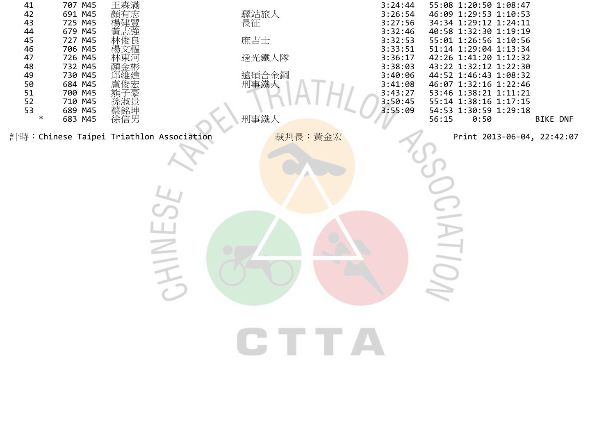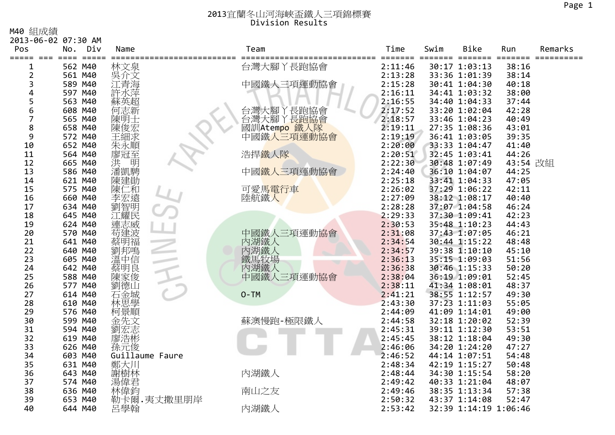M40 組成績

| Ⅳ→Ⅴ ☆且/火☆貝<br>2013-06-02 07:30 AM |                    |     |                            |                                                |               |                    |         |                                |                |         |
|-----------------------------------|--------------------|-----|----------------------------|------------------------------------------------|---------------|--------------------|---------|--------------------------------|----------------|---------|
| Pos                               | No.                | Div | Name                       |                                                | Team          | Time               | Swim    | <b>Bike</b>                    | Run            | Remarks |
| =====                             |                    |     |                            |                                                |               | =====              | ======= | =====                          |                |         |
|                                   | 562 M40            |     | 林文泉                        |                                                | 台灣大腳丫長跑協會     | 2:11:46            |         | 30:17 1:03:13                  | 38:16          |         |
| 2                                 | 561 M40            |     | 吳介文                        |                                                |               | 2:13:28            |         | 33:36 1:01:39                  | 38:14          |         |
| 3                                 | 589 M40            |     | .青海                        |                                                | 中國鐵人三項運動協會    | 2:15:28            |         | 30:41 1:04:30                  | 40:18          |         |
| 4                                 | 597 M40            |     |                            |                                                |               | 2:16:11            |         | 34:41 1:03:32                  | 38:00          |         |
| 5                                 | 563 M40            |     |                            |                                                |               | 2:16:55            |         | 34:40 1:04:33                  | 37:44          |         |
| 6                                 | 608 M40            |     | 何志新                        |                                                | 丫長跑協會<br>台灣大腳 | 2:17:52            |         | 33:20 1:02:04                  | 42:28          |         |
| 7                                 | 565 M40            |     | 陳明士                        |                                                | 台灣大腳<br>丫長跑協會 | 2:18:57            |         | 33:46 1:04:23                  | 40:49          |         |
| 8                                 | 658 M40            |     | 陳俊宏                        |                                                | 國訓Atempo 鐵人隊  | 2:19:11            |         | 27:35 1:08:36                  | 43:01          |         |
| 9                                 | 572 M40            |     | 王細求                        |                                                | 中國鐵人三項運動協會    | 2:19:19            |         | 36:41 1:03:05                  | 39:35          |         |
| 10                                | 652 M40            |     | 朱永順                        |                                                |               | 2:20:00            |         | 33:33 1:04:47                  | 41:40          |         |
| 11                                | 564 M40            |     |                            |                                                | 浩捍鐵人隊         | 2:20:51            |         | 32:45 1:03:41                  | 44:26          |         |
| 12                                | 665 M40            |     | ·廖洪潘凯<br>洪清<br>湘           |                                                |               | 2:22:30            |         | 30:48 1:07:49                  | 43:54 改組       |         |
| 13                                | 586 M40            |     |                            |                                                | 中國鐵人三項運動協會    | 2:24:40            |         | 36:10 1:04:07                  | 44:25          |         |
| 14                                | 621 M40            |     | 陳建勛                        |                                                |               | 2:25:18            |         | 33:41 1:04:33                  | 47:05          |         |
| 15                                | 575 M40            |     | 陳<br>仁和                    |                                                | 可愛馬電行車        | 2:26:02            |         | 37:29 1:06:22                  | 42:11          |         |
| 16                                | 660 M40            |     | 李宏遠                        |                                                | 陸航鐵人          | 2:27:09            |         | 38:12 1:08:17                  | 40:40          |         |
| 17                                | 634 M40            |     | 劉智明                        |                                                |               | 2:28:28            |         | 37:07 1:04:58                  | 46:24          |         |
| 18                                | 645 M40            |     | 江耀民                        |                                                |               | 2:29:33            |         | 37:30 1:09:41                  | 42:23          |         |
| 19                                | 624 M40            |     | 連志威                        |                                                |               | 2:30:53            |         | 35:48 1:10:23                  | 44:43          |         |
| 20                                | 570 M40            |     | 苟建波                        |                                                | 中國鐵人三項運動協會    | 2:31:08            |         | 37:43 1:07:05                  | 46:21          |         |
| 21                                | 641 M40            |     | 蔡明福                        |                                                | 內湖鐵人          | 2:34:54            |         | 30:44 1:15:22<br>39:38 1:10:10 | 48:48          |         |
| 22<br>23                          | 640 M40<br>605 M40 |     |                            |                                                | 內湖鐵人          | 2:34:57<br>2:36:13 |         | 35:15 1:09:03                  | 45:10<br>51:56 |         |
| 24                                | 642 M40            |     | 《劉溫禁》<br>《《三十二年》<br>《三十三年》 |                                                | 鐵馬牧場<br>內湖鐵人  | 2:36:38            |         | 30:46 1:15:33                  | 50:20          |         |
| 25                                | 588 M40            |     | 陳家俊                        |                                                | 中國鐵人三項運動協會    | 2:38:04            |         | 36:19 1:09:01                  | 52:45          |         |
| 26                                | 577 M40            |     | 劉德山                        |                                                |               | 2:38:11            |         | 41:34 1:08:01                  | 48:37          |         |
| 27                                | 614 M40            |     | i金城                        |                                                | $O-TM$        | 2:41:21            |         | 38:55 1:12:57                  | 49:30          |         |
| 28                                | 610 M40            |     | 林思學                        |                                                |               | 2:43:30            |         | 37:23 1:11:03                  | 55:05          |         |
| 29                                | 576 M40            |     | 柯景順                        |                                                |               | 2:44:09            |         | 41:09 1:14:01                  | 49:00          |         |
| 30                                | 599 M40            |     | 金先文                        |                                                | 蘇澳慢跑-極限鐵人     | 2:44:58            |         | 32:18 1:20:02                  | 52:39          |         |
| 31                                | 594 M40            |     | 劉宏志                        |                                                |               | 2:45:31            |         | 39:11 1:12:30                  | 53:51          |         |
| 32                                | 619 M40            |     | 廖浩彬                        |                                                |               | 2:45:45            |         | 38:12 1:18:04                  | 49:30          |         |
| 33                                | 626 M40            |     | 孫元俊                        |                                                |               | 2:46:06            |         | 34:20 1:24:20                  | 47:27          |         |
| 34                                | 603 M40            |     | Guillaume Faure            |                                                |               | 2:46:52            |         | 44:14 1:07:51                  | 54:48          |         |
| 35                                | 631 M40            |     | 鄭大川                        |                                                |               | 2:48:34            |         | 42:19 1:15:27                  | 50:48          |         |
| 36                                | 643 M40            |     |                            |                                                | 內湖鐵人          | 2:48:44            |         | 34:30 1:15:54                  | 58:20          |         |
| 37                                | 574 M40            |     |                            |                                                |               | 2:49:42            |         | 40:33 1:21:04                  | 48:07          |         |
| 38                                | 636 M40            |     |                            |                                                | 南山之友          | 2:49:46            |         | 38:35 1:13:34                  | 57:38          |         |
| 39                                | 653 M40            |     |                            | <sup>熟</sup><br>謝樹林<br>湯偉君<br>村情報・夷丈撒里朋岸<br>朝卡 |               | 2:50:32            |         | 43:37 1:14:08                  | 52:47          |         |
| 40                                | 644 M40            |     | 呂學翰                        |                                                | 內湖鐵人          | 2:53:42            |         | 32:39 1:14:19 1:06:46          |                |         |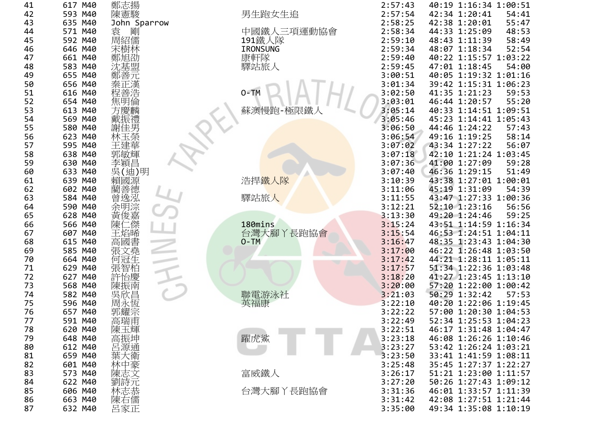| 41<br>42 | 617        | M40        | 鄭志揚         |
|----------|------------|------------|-------------|
| 43       | 593<br>635 | M40<br>M40 | 陳憲駿<br>John |
| 44       | 571        | M40        | Sparro<br>剛 |
| 45       | 592        | M40        | 周紹儒         |
| 46       | 646        | M40        |             |
| 47       | 661        | M40        | 鄭一          |
| 48       | 583        | M40        |             |
| 49       | 655        | M40        |             |
| 50       | 656        | M40        |             |
| 51       | 616        | M40        |             |
| 52       | 654        | M40        |             |
| 53       | 613        | M40        |             |
| 54       | 569        | M40        |             |
| 55       | 580        | M40        |             |
| 56<br>57 | 623        | M40        |             |
| 58       | 595<br>638 | M40<br>M40 | 郭敏輝         |
| 59       | 630        | M40        |             |
| 60       | 633        | M40        | )明          |
| 61       | 639        | M40        | 或           |
| 62       | 602        | M40        |             |
| 63       | 584        | M40        |             |
| 64       | 590        | M40        |             |
| 65       | 628        | M40        |             |
| 66       | 566        | M40        |             |
| 67       | 607        | M40        |             |
| 68       | 615        | M40        |             |
| 69       | 585        | M40        | i           |
| 70       | 664        | M40        |             |
| 71<br>72 | 629<br>627 | M40<br>M40 |             |
| 73       | 568        | M40        | 煉           |
| 74       | 582        | M40        |             |
| 75       | 596        | M40        |             |
| 76       | 657        | M40        |             |
| 77       | 591        | M40        | 高瑞          |
| 78       | 620        | M40        | 陳玉輝         |
| 79       | 648        | M40        | 高振坤         |
| 80       | 612        | M40        | 呂源通         |
| 81       | 659        | M40        | 葉           |
| 82       | 601        | M40        | 林           |
| 83       | 573        | M40        |             |
| 84<br>85 | 622<br>606 | M40<br>M40 |             |
| 86       | 663        | M40        |             |
| 87       | 632        | M40        |             |
|          |            |            |             |

| 1                       | 617 M40     | 鄭志揚                             |            | 2:57:43            | 40:19 1:16:34 1:00:51          |       |
|-------------------------|-------------|---------------------------------|------------|--------------------|--------------------------------|-------|
|                         | 593 M40     | 陳憲駿                             | 男生跑女生追     | 2:57:54            | 42:34 1:20:41                  | 54:41 |
| 2<br>3                  | 635 M40     | John Sparrow                    |            | 2:58:25            | 42:38 1:20:01                  | 55:47 |
| 4                       | 571 M40     | 袁<br>剛                          | 中國鐵人三項運動協會 | 2:58:34            | 44:33 1:25:09                  | 48:53 |
| 5                       | 592 M40     | 周紹儒                             | 191鐵人隊     | 2:59:10            | 48:43 1:11:39                  | 58:49 |
| 6                       | 646 M40     | 宋樹林                             | IRONSUNG   | 2:59:34            | 48:07 1:18:34                  | 52:54 |
| 7                       | 661 M40     | 鄭旭劭                             | 康軒隊        | 2:59:40            | 40:22 1:15:57 1:03:22          |       |
| 8                       | 583 M40     |                                 | 驛站旅人       | 2:59:45            | 47:01 1:18:45                  | 54:00 |
| 9                       | 655 M40     | 沈基盟元                            |            | 3:00:51            | 40:05 1:19:32 1:01:16          |       |
| 0                       | 656 M40     | 秦正漢                             |            | 3:01:34            | 39:42 1:15:31 1:06:23          |       |
| 1                       | 616 M40     |                                 | $O-TM$     | 3:02:50            | 41:35 1:21:23                  | 59:53 |
| $\overline{\mathbf{c}}$ | 654 M40     | {程<br>集<br>事<br>方<br>更<br>方<br> |            | 3:03:01            | 46:44 1:20:57                  | 55:20 |
| 3                       | 613 M40     |                                 | 蘇澳慢跑-極限鐵人  | 3:05:14            | 40:33 1:14:51 1:09:51          |       |
| 4                       | 569 M40     |                                 |            | 3:05:46            | 45:23 1:14:41 1:05:43          |       |
|                         | 580 M40     | 戴振禮                             |            | 3:06:50            | 44:46 1:24:22                  | 57:43 |
| 5                       | 623 M40     | 謝佳男<br>林玉榮                      |            |                    |                                |       |
| 6<br>7                  |             |                                 |            | 3:06:54<br>3:07:02 | 49:16 1:19:25<br>43:34 1:27:22 | 58:14 |
|                         | 595 M40     | 王建華                             |            | 3:07:18            |                                | 56:07 |
| 8                       | 638 M40     | 郭敏輝                             |            |                    | 42:10 1:21:24 1:03:45          |       |
| 9                       | 630 M40     | 李穎昌                             |            | 3:07:36            | 41:00 1:27:09                  | 59:28 |
| 0                       | 633 M40     | 吳(迪)明                           |            | 3:07:40            | 46:36 1:29:15                  | 51:49 |
| 1                       | 639 M40     | 賴國源                             | 浩捍鐵人隊      | 3:10:39            | 43:38 1:27:01 1:00:01          |       |
| $\overline{\mathbf{c}}$ | 602 M40     | 藺善徳                             |            | 3:11:06            | 45:19 1:31:09                  | 54:39 |
| 3                       | 584 M40     | 曾逸泓                             | 驛站旅人       | 3:11:55            | 43:47 1:27:33 1:00:36          |       |
| 4                       | 590 M40     | 余明淙                             |            | 3:12:21            | 52:10 1:23:16                  | 56:56 |
| 5                       | 628 M40     | ·黃俊嘉<br>陳仁傑                     |            | 3:13:30            | 49:20 1:24:46                  | 59:25 |
| 6                       | 566 M40     |                                 | 180mins    | 3:15:24            | 43:51 1:14:59 1:16:34          |       |
| 7                       | 607 M40     | 王焰晞                             | 台灣大腳丫長跑協會  | 3:15:54            | 46:53 1:24:51 1:04:11          |       |
| 8                       | 615 M40     | 高國書                             | $O-TM$     | 3:16:47            | 48:35 1:23:43 1:04:30          |       |
| 9                       | 585 M40     | 張文堯                             |            | 3:17:00            | 46:22 1:26:48 1:03:50          |       |
| 0                       | 664 M40     | 何冠生                             |            | 3:17:42            | 44:21 1:28:11 1:05:11          |       |
| 1                       | 629 M40     | 張智柏                             |            | 3:17:57            | 51:34 1:22:36 1:03:48          |       |
| $\overline{\mathbf{c}}$ | 627 M40     | 許怡慶                             |            | 3:18:20            | 41:27 1:23:45 1:13:10          |       |
| 3                       | 568 M40     | 陳振南                             |            | 3:20:00            | 57:20 1:22:00 1:00:42          |       |
| 4                       | 582 M40     | 吳欣昌                             | 聯電游泳社      | 3:21:03            | 50:29 1:32:42                  | 57:53 |
| 5                       | 596 M40     | 周永恆                             | 英福康        | 3:22:10            | 40:20 1:22:06 1:19:45          |       |
| 6                       | 657 M40     | 郭耀宗                             |            | 3:22:22            | 57:00 1:20:30 1:04:53          |       |
| 7                       | 591 M40     | 高瑞甫                             |            | 3:22:49            | 52:34 1:25:53 1:04:23          |       |
| 8                       | 620 M40     | 陳玉輝                             |            | 3:22:51            | 46:17 1:31:48 1:04:47          |       |
| 9                       | 648 M40     | 高振坤                             | 躍虎鯊        | 3:23:18            | 46:08 1:26:26 1:10:46          |       |
| 0                       | 612 M40     | 呂源通                             |            | 3:23:27            | 53:42 1:26:24 1:03:21          |       |
| 1                       | 659 M40     | 葉大衛                             |            | 3:23:50            | 33:41 1:41:59 1:08:11          |       |
| 2                       | 601 M40     | 林中豪                             |            | 3:25:48            | 35:45 1:27:37 1:22:27          |       |
| 3                       | 573 M40     | 陳志文                             | 富威鐵人       | 3:26:17            | 51:21 1:23:00 1:11:57          |       |
| 4                       | 622 M40     | 劉詩元                             |            | 3:27:20            | 50:26 1:27:43 1:09:12          |       |
| 5                       | 606 M40     | 林志恭                             | 台灣大腳丫長跑協會  | 3:31:36            | 46:01 1:33:57 1:11:39          |       |
| 6                       | 663 M40     | 陳右儒                             |            | 3:31:42            | 42:08 1:27:51 1:21:44          |       |
| 7                       | $632$ $MAA$ | 医豪带                             |            | 3.35.00            | $19.31$ 1.35.08 1.10.19        |       |

|                | 2:57:43            | 40:19 1:16:34 1:00:51                     |
|----------------|--------------------|-------------------------------------------|
| E跑女生追          | 2:57:54            | 42:34 1:20:41<br>54:41                    |
|                | 2:58:25            | 42:38 1:20:01<br>55:47                    |
| 郾鐵人三項運動協會      | 2:58:34            | 44:33 1:25:09<br>48:53                    |
| 鐵人隊            | 2:59:10            | 48:43 1:11:39<br>58:49                    |
| <b>NSUNG</b>   | 2:59:34            | 48:07 1:18:34<br>52:54                    |
| 邗家             | 2:59:40            | 40:22 1:15:57<br>1:03:22                  |
| 战底人            | 2:59:45            | 47:01 1:18:45<br>54:00                    |
|                | 3:00:51            | 40:05 1:19:32<br>1:01:16                  |
|                | 3:01:34            | 39:42 1:15:31<br>1:06:23                  |
| $H\prime$<br>M | 3:02:50            | 41:35 1:21:23<br>59:53                    |
|                | 3:03:01            | 46:44 1:20:57<br>55:20                    |
| 奥慢跑-極限鐵人       | 3:05:14            | 40:33 1:14:51<br>1:09:51                  |
|                | 3:05:46            | 45:23 1:14:41<br>1:05:43                  |
|                | 3:06:50            | 44:46 1:24:22<br>57:43                    |
|                | 3:06:54            | 49:16 1:19:25<br>58:14                    |
|                | 3:07:02            | 43:34 1:27:22<br>56:07                    |
|                | 3:07:18            | 42:10 1:21:24 1:03:45                     |
|                | 3:07:36            | 41:00 1:27:09<br>59:28                    |
|                | 3:07:40            | 46:36 1:29:15<br>51:49                    |
| 旱鐵人隊           | 3:10:39            | 43:38 1:27:01<br>1:00:01                  |
|                | 3:11:06            | 45:19 1:31:09<br>54:39                    |
| 占旅人            | 3:11:55            | 43:47 1:27:33<br>1:00:36                  |
|                | 3:12:21            | 52:10 1:23:16<br>56:56                    |
|                | 3:13:30            | 49:20 1:24:46<br>59:25                    |
| mins           | 3:15:24            | 43:51 1:14:59<br>1:16:34                  |
|                | 3:15:54            | 46:53 1:24:51<br>1:04:11                  |
| Μ              | 3:16:47            | 48:35 1:23:43<br>1:04:30                  |
|                | 3:17:00            | 46:22 1:26:48<br>1:03:50                  |
|                | 3:17:42            | 44:21 1:28:11<br>1:05:11                  |
|                | 3:17:57            | 51:34 1:22:36 1:03:48                     |
|                | 3:18:20            | 41:27 1:23:45 1:13:10                     |
|                | 3:20:00            | 57:20 1:22:00<br>1:00:42                  |
| 蟚游泳社           | 3:21:03            | 50:29 1:32:42<br>57:53                    |
| 鼠康             | 3:22:10            | 40:20 1:22:06 1:19:45                     |
|                | 3:22:22            | 57:00 1:20:30 1:04:53                     |
|                | 3:22:49            | 52:34 1:25:53 1:04:23                     |
|                | 3:22:51            | 46:17 1:31:48 1:04:47                     |
| 之業             | 3:23:18            | 46:08 1:26:26 1:10:46                     |
|                | 3:23:27            | 53:42 1:26:24 1:03:21<br>1:08:11          |
|                | 3:23:50<br>3:25:48 | 33:41 1:41:59<br>35:45 1:27:37<br>1:22:27 |
| 或鐵人            | 3:26:17            | 1:11:57<br>51:21 1:23:00                  |
|                | 3:27:20            | 50:26 1:27:43<br>1:09:12                  |
|                | 3:31:36            | 1:11:39<br>46:01 1:33:57                  |
|                | 3:31:42            | 42:08 1:27:51<br>1:21:44                  |
|                | 3:35:00            | 49:34 1:35:08<br>1:10:19                  |
|                |                    |                                           |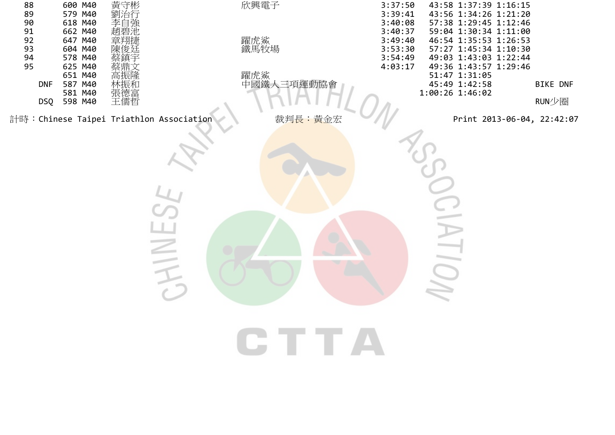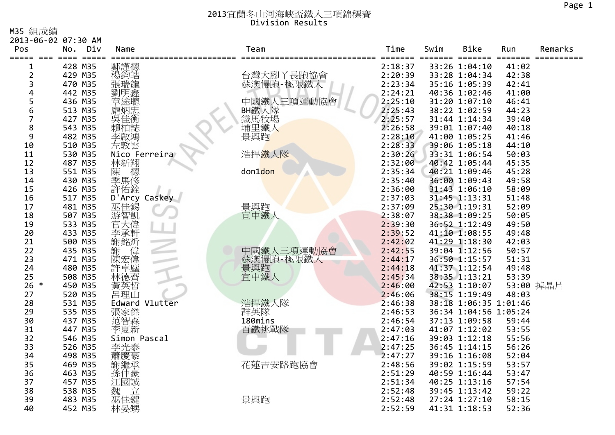M35 組成績

|                | 2013-06-02 07:30 AM        |                |                       |                    |      |                                |                |           |
|----------------|----------------------------|----------------|-----------------------|--------------------|------|--------------------------------|----------------|-----------|
| Pos            | No.<br>Div                 | Name           | Team                  | Time               | Swim | Bike                           | Run            | Remarks   |
| =====<br>1     | $=$ $=$ $=$ $=$<br>428 M35 | 鄭謹德            |                       | ====<br>2:18:37    |      | $==$<br>33:26 1:04:10          | 41:02          |           |
| $\overline{2}$ | 429 M35                    | 楊鈞皓            | 台灣大腳丫長跑協會             | 2:20:39            |      | 33:28 1:04:34                  | 42:38          |           |
| 3              | 470 M35                    | 張瑞龍            | 蘇澳慢跑-極限鐵人             | 2:23:34            |      | 35:16 1:05:39                  | 42:41          |           |
| 4              | 442 M35                    | 劉明鑫            |                       | 2:24:21            |      | 40:36 1:02:46                  | 41:00          |           |
| 5              | 436 M35                    | 章途聰            | 中國鐵人三項運動協會            | 2:25:10            |      | 31:20 1:07:10                  | 46:41          |           |
| 6              | 513 M35                    |                |                       | 2:25:43            |      | 38:22 1:02:59                  | 44:23          |           |
| 7              | 427 M35                    |                | <b>BH</b> 鐵人隊<br>鐵馬牧場 | 2:25:57            |      | 31:44 1:14:34                  | 39:40          |           |
| 8              | 543 M35                    | 賴柏誌            | 埔里鐵人                  | 2:26:58            |      | 39:01 1:07:40                  | 40:18          |           |
| 9              | 482 M35                    | 李啟鴻            | 景興跑                   | 2:28:10            |      | 41:00 1:05:25                  | 41:46          |           |
| 10             | 510 M35                    | 左敦雲            |                       | 2:28:33            |      | 39:06 1:05:18                  | 44:10          |           |
| 11             | 530 M35                    | Nico Ferreira  | 浩捍鐵人隊                 | 2:30:26            |      | 33:31 1:06:54                  | 50:03          |           |
| 12             | 487 M35                    | 林新翔<br>陳<br>德  |                       | 2:32:00            |      | 40:42 1:05:44                  | 45:35          |           |
| 13             | 551 M35                    |                | don1don               | 2:35:34            |      | 40:21 1:09:46                  | 45:28          |           |
| 14             | 430 M35                    | 季馬修            |                       | 2:35:40            |      | 36:00 1:09:43                  | 49:58          |           |
| 15             | 426 M35                    | 許佑銓            |                       | 2:36:00            |      | 31:43 1:06:10                  | 58:09          |           |
| 16             | 517 M35                    | D'Arcy Caskey  |                       | 2:37:03            |      | 31:45 1:13:31                  | 51:48          |           |
| 17             | 481 M35                    | 巫佳錫            | 景興跑                   | 2:37:09            |      | 25:30 1:19:31                  | 52:09          |           |
| 18             | 507 M35                    | 游智凱            | 宜中鐵人                  | 2:38:07            |      | 38:38 1:09:25                  | 50:05          |           |
| 19             | 533 M35                    | 官天偉            |                       | 2:39:30            |      | 36:52 1:12:49                  | 49:50          |           |
| 20             | 433 M35                    | 李承軒            |                       | 2:39:52            |      | 41:10 1:08:55                  | 49:48          |           |
| 21             | 500 M35                    | 謝銘炘            |                       | 2:42:02            |      | 41:29 1:18:30                  | 42:03          |           |
| 22             | 435 M35                    | 偉<br>謝         | 中國鐵人三項運動協會            | 2:42:55            |      | 39:04 1:12:56                  | 50:57          |           |
| 23             | 471 M35                    | 陳宏偉            | 蘇澳慢跑-極限鐵人             | 2:44:17            |      | 36:50 1:15:57                  | 51:31          |           |
| 24             | 480 M35                    | 許卓塵            | 景興跑<br>宜中鐵人           | 2:44:18            |      | 41:37 1:12:54                  | 49:48          |           |
| 25             | 508 M35                    | 林德齊            |                       | 2:45:34            |      | 38:35 1:13:21                  | 53:39          |           |
| $26 *$         | 450 M35                    | 黃英哲            |                       | 2:46:00            |      | 42:53 1:10:07                  |                | 53:00 掉晶片 |
| 27             | 520 M35                    | 呂理山            |                       | 2:46:06            |      | 38:15 1:19:49                  | 48:03          |           |
| 28             | 531 M35                    | Edward Vlutter | 浩捍鐵人隊                 | 2:46:38            |      | 38:18 1:06:35 1:01:46          |                |           |
| 29             | 535 M35                    | 張家傑            | 群英隊<br>180mins        | 2:46:53            |      | 36:34 1:04:56 1:05:24          |                |           |
| 30             | 437 M35                    | 范智森            |                       | 2:46:54            |      | 37:13 1:09:58                  | 59:44          |           |
| 31<br>32       | 447 M35<br>546 M35         | 李夏新            | 百鐵挑戰隊                 | 2:47:03<br>2:47:16 |      | 41:07 1:12:02<br>39:03 1:12:18 | 53:55<br>55:56 |           |
| 33             | 526 M35                    | Simon Pascal   |                       | 2:47:25            |      | 36:45 1:14:15                  | 56:26          |           |
| 34             | 498 M35                    | 李光泰            |                       | 2:47:27            |      | 39:16 1:16:08                  | 52:04          |           |
| 35             | 469 M35                    | 蕭慶豪<br>謝繼承     | 花蓮吉安路跑協會              | 2:48:56            |      | 39:02 1:15:59                  | 53:57          |           |
| 36             | 463 M35                    | 孫仲豪            |                       | 2:51:29            |      | 40:59 1:16:44                  | 53:47          |           |
| 37             | 457 M35                    | 江國誠            |                       | 2:51:34            |      | 40:25 1:13:16                  | 57:54          |           |
| 38             | 538 M35                    | 魏<br>Ì.        |                       | 2:52:48            |      | 39:45 1:13:42                  | 59:22          |           |
| 39             | 483 M35                    | 巫佳鍵            | 景興跑                   | 2:52:48            |      | 27:24 1:27:10                  | 58:15          |           |
| 40             | 452 M35                    | 林晏甥            |                       | 2:52:59            |      | 41:31 1:18:53                  | 52:36          |           |
|                |                            |                |                       |                    |      |                                |                |           |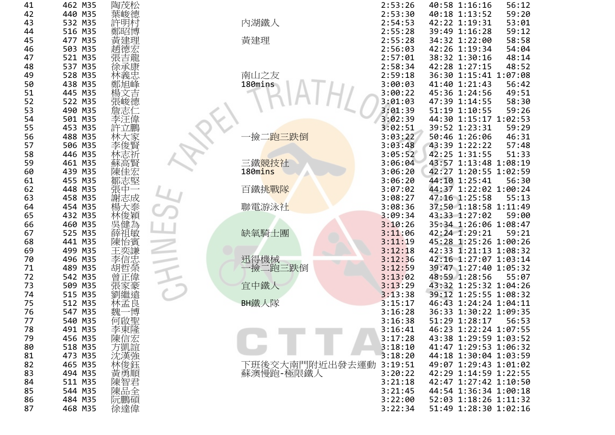| 41             | 462        | M35        | 陶茂松        |
|----------------|------------|------------|------------|
| 42             | 440        | M35        | 德          |
| 43             | 532        | M35        |            |
| 44             | 516        | M35        | 鄭阳         |
| 45             | 477        | M35        |            |
| 46             | 503        | M35        |            |
| 47             | 521        | M35        | ī 前        |
| 48             | 537        | M35        | 徐承         |
| 49<br>50       | 528<br>438 | M35<br>M35 |            |
| 51             | 445        | M35        |            |
| 52             | 522        | M35        |            |
| 53             | 490        | M35        |            |
| $\frac{54}{1}$ | 501        | M35        |            |
| 55             | 453        | M35        |            |
| 56             | 488        | M35        |            |
| 57             | 506        | M35        |            |
| 58             | 446        | M35        |            |
| 59             | 461        | M35        |            |
| 60             | 439        | M35        |            |
| 61             | 455        | M35        |            |
| 62             | 448        | M35        |            |
| 63             | 458        | M35        |            |
| 64             | 454        | M35        |            |
| 65             | 432<br>460 | M35<br>M35 |            |
| 66<br>67       | 525        | M35        |            |
| 68             | 441        | M35        |            |
| 69             | 499        | M35        |            |
| 70             | 496        | M35        |            |
| 71             | 489        | M35        |            |
| 72             | 542        | M35        |            |
| 73             | 509        | M35        |            |
| 74             | 515        | M35        |            |
| 75             | 512        | M35        |            |
| 76             | 547        | M35        |            |
| 77             | 540        | M35        | 可啟         |
| 78             | 491        | M35        | 李東隆        |
| 79             | 456        | M35        | 陳信         |
| 80<br>81       | 518<br>473 | M35<br>M35 | j凱誼<br>沈漢強 |
| 82             | 465        | M35        | 林俊鈺        |
| 83             | 494        | M35        | 黃勇順        |
| 84             | 511        | M35        | 陳智         |
| 85             | 544        | M35        | 陳品         |
| 86             | 484        | M35        | 阮鵬碩        |
| 87             | 468        | M35        | 徐達偉        |
|                |            |            |            |

|   | 462 M35        | 陶戊松        |                        | 2:53:26 | 40:58 1:16:16         | 56:12 |
|---|----------------|------------|------------------------|---------|-----------------------|-------|
| 2 | 440 M35        | 葉峻德        |                        | 2:53:30 | 40:18 1:13:52         | 59:20 |
| 3 | 532 M35        | 許明村        | 內湖鐵人                   | 2:54:53 | 42:22 1:19:31         | 53:01 |
| 4 | 516 M35        | 鄭昭博        |                        | 2:55:28 | 39:49 1:16:28         | 59:12 |
| 5 | 477 M35        | 黃建理        | 黃建理                    | 2:55:28 | 34:32 1:22:00         | 58:58 |
| 6 | 503 M35        |            |                        | 2:56:03 | 42:26 1:19:34         | 54:04 |
| 7 | 521 M35        | 趙德宏<br>張吉龍 |                        | 2:57:01 | 38:32 1:30:16         | 48:14 |
| 8 | 537 M35        | 徐承康        |                        | 2:58:34 | 42:28 1:27:15         | 48:52 |
| 9 | 528 M35        | 林義忠        | 南山之友                   | 2:59:18 | 36:30 1:15:41 1:07:08 |       |
| 0 | 438 M35        | 鄭旭峰        | 180mins                | 3:00:03 | 41:40 1:21:43         | 56:42 |
| 1 | 445 M35        | 楊文吉        |                        | 3:00:22 | 45:36 1:24:56         | 49:51 |
| 2 | 522 M35        | 張峻德        |                        | 3:01:03 | 47:39 1:14:55         | 58:30 |
| 3 | 490 M35        | 詹志仁        |                        | 3:01:39 | 51:19 1:10:55         | 59:26 |
| 4 | 501 M35        | 李汪偉        |                        | 3:02:39 | 44:30 1:15:17 1:02:53 |       |
| 5 | 453 M35        | 許立鵬        |                        | 3:02:51 | 39:52 1:23:31         | 59:29 |
| 6 | 488 M35        |            | ·撿二 <mark>跑三跌倒</mark>  | 3:03:22 | 50:46 1:26:06         | 46:31 |
| 7 | 506 M35        | 林大家<br>李俊賢 |                        | 3:03:48 | 43:39 1:22:22         | 57:48 |
| 8 | 446 M35        | 林志祈        |                        | 3:05:52 | 42:25 1:31:55         | 51:33 |
| 9 | 461 M35        |            | 三鐵競技社                  | 3:06:04 | 43:57 1:13:48 1:08:19 |       |
|   |                | 蘇高賢        | 180mins                |         | 42:27 1:20:55 1:02:59 |       |
| 0 | 439 M35        | 陳佳宏        |                        | 3:06:20 |                       |       |
| 1 | 455 M35        | 鄒志堅        |                        | 3:06:20 | 44:10 1:25:41         | 56:30 |
| 2 | 448 M35        | 張中一        | 百鐵挑戰隊                  | 3:07:02 | 44:37 1:22:02 1:00:24 |       |
| 3 | 458 M35        | 謝志成        |                        | 3:08:27 | 47:16 1:25:58         | 55:13 |
| 4 | 454 M35        | 楊大泰        | 聯電游泳社                  | 3:08:36 | 37:50 1:18:58 1:11:49 |       |
| 5 | 432 M35        | 林俊穎        |                        | 3:09:34 | 43:33 1:27:02         | 59:00 |
| 6 | 460 M35        | 吳健為        |                        | 3:10:26 | 35:34 1:26:06 1:08:47 |       |
| 7 | 525 M35        | 薛祖敏        | 缺氧騎士團                  | 3:11:06 | 42:24 1:29:21         | 59:21 |
| 8 | 441 M35        | 陳怡賓        |                        | 3:11:19 | 45:28 1:25:26 1:00:26 |       |
| 9 | 499 M35        | 王奕謙        |                        | 3:12:18 | 42:33 1:21:13 1:08:32 |       |
| 0 | 496 M35        | 李信忠<br>胡哲榮 | 迅得機械                   | 3:12:36 | 42:16 1:27:07 1:03:14 |       |
| 1 | 489 M35        |            | 一撿二跑三跌倒                | 3:12:59 | 39:47 1:27:40 1:05:32 |       |
| 2 | 542 M35        | 曾正偉        |                        | 3:13:02 | 48:59 1:28:56         | 55:07 |
| 3 | 509 M35        | 張家豪<br>劉繼遠 | 宜中鐵人                   | 3:13:29 | 43:32 1:25:32 1:04:26 |       |
| 4 | 515 M35        |            |                        | 3:13:38 | 39:12 1:25:55 1:08:32 |       |
| 5 | 512 M35        | 林孟良        | BH鐵人隊                  | 3:15:17 | 46:43 1:24:24 1:04:11 |       |
| 6 | 547 M35        | 博<br>魏     |                        | 3:16:28 | 36:33 1:30:22 1:09:35 |       |
| 7 | 540 M35        | 何啟聖        |                        | 3:16:38 | 51:29 1:28:17         | 56:53 |
| 8 | 491 M35        | 李東隆        |                        | 3:16:41 | 46:23 1:22:24 1:07:55 |       |
| 9 | 456 M35        | 陳信宏        |                        | 3:17:28 | 43:38 1:29:59 1:03:52 |       |
| 0 | 518 M35        | 方凱誼        |                        | 3:18:10 | 41:47 1:29:53 1:06:32 |       |
| 1 | 473 M35        | 沈漢強        |                        | 3:18:20 | 44:18 1:30:04 1:03:59 |       |
| 2 | 465 M35        | 林俊鈺        | 下班後交大南門附近出發去運動 3:19:51 |         | 49:07 1:29:43 1:01:02 |       |
| 3 | 494 M35        | 黃勇順        | 蘇澳慢跑-極限鐵人              | 3:20:22 | 42:29 1:14:59 1:22:55 |       |
| 4 | 511 M35        | 陳智君        |                        | 3:21:18 | 42:47 1:27:42 1:10:50 |       |
| 5 | 544 M35        | 陳品全        |                        | 3:21:45 | 44:54 1:36:34 1:00:18 |       |
| 6 | 484 M35        | 阮鵬碩        |                        | 3:22:00 | 52:03 1:18:26 1:11:32 |       |
| 7 | <b>ACO MOE</b> | 经法倍        |                        | 2.77.24 | E1.10 1.20.20 1.02.16 |       |

| 1              | 462 M35 | 陶茂松        |                | 2:53:26 | 40:58 1:16:16         | 56:12 |
|----------------|---------|------------|----------------|---------|-----------------------|-------|
| 2              | 440 M35 | 葉峻德        |                | 2:53:30 | 40:18 1:13:52         | 59:20 |
| 3              | 532 M35 | 許明村        | 內湖鐵人           | 2:54:53 | 42:22 1:19:31         | 53:01 |
| 4              | 516 M35 | 鄭昭博        |                | 2:55:28 | 39:49 1:16:28         | 59:12 |
| 5              | 477 M35 | 黃建理        | 黃建理            | 2:55:28 | 34:32 1:22:00         | 58:58 |
| 6              | 503 M35 | 趙德宏        |                | 2:56:03 | 42:26 1:19:34         | 54:04 |
| 7              | 521 M35 | 張吉龍        |                | 2:57:01 | 38:32 1:30:16         | 48:14 |
| 8              | 537 M35 | 徐承康        |                | 2:58:34 | 42:28 1:27:15         | 48:52 |
| 9              | 528 M35 | 林義忠        | 南山之友           | 2:59:18 | 36:30 1:15:41 1:07:08 |       |
| 0              | 438 M35 | 鄭旭峰        | 180mins        | 3:00:03 | 41:40 1:21:43         | 56:42 |
|                | 445 M35 | 楊文吉        |                | 3:00:22 | 45:36 1:24:56         | 49:51 |
| $\overline{c}$ | 522 M35 | 張峻德        |                | 3:01:03 | 47:39 1:14:55         | 58:30 |
| 3              | 490 M35 | 詹志仁        |                | 3:01:39 | 51:19 1:10:55         | 59:26 |
| 4              | 501 M35 | 李汪偉        |                | 3:02:39 | 44:30 1:15:17 1:02:53 |       |
| 5              | 453 M35 | 許立鵬        |                | 3:02:51 | 39:52 1:23:31         | 59:29 |
| 6              | 488 M35 | 林大家        | 跑三跌倒<br>撿      | 3:03:22 | 50:46 1:26:06         | 46:31 |
| 7              | 506 M35 | 李俊賢        |                | 3:03:48 | 43:39 1:22:22         | 57:48 |
| 8              | 446 M35 | 林志祈        |                | 3:05:52 | 42:25 1:31:55         | 51:33 |
| 9              | 461 M35 | 蘇高賢        | 三鐵競技社          | 3:06:04 | 43:57 1:13:48 1:08:19 |       |
| 0              | 439 M35 | 陳佳宏        | 180mins        | 3:06:20 | 42:27 1:20:55 1:02:59 |       |
|                | 455 M35 | 鄒志堅        |                | 3:06:20 | 44:10 1:25:41         | 56:30 |
| 2              | 448 M35 | 張中一        | 百鐵挑戰隊          | 3:07:02 | 44:37 1:22:02 1:00:24 |       |
| 3              | 458 M35 | 謝志成        |                | 3:08:27 | 47:16 1:25:58         | 55:13 |
| 4              | 454 M35 | 楊大泰        | 聯電游泳社          | 3:08:36 | 37:50 1:18:58 1:11:49 |       |
| 5              | 432 M35 | 林俊穎        |                | 3:09:34 | 43:33 1:27:02         | 59:00 |
| 6              | 460 M35 | 吳健為        |                | 3:10:26 | 35:34 1:26:06 1:08:47 |       |
| 7              | 525 M35 | 薛祖敏        | 缺氧騎士團          | 3:11:06 | 42:24 1:29:21         | 59:21 |
| 8              | 441 M35 | 陳怡賓        |                | 3:11:19 | 45:28 1:25:26 1:00:26 |       |
| 9              | 499 M35 | 王奕謙        |                | 3:12:18 | 42:33 1:21:13 1:08:32 |       |
| 0              | 496 M35 | 李信忠        | 迅得機械           | 3:12:36 | 42:16 1:27:07 1:03:14 |       |
|                | 489 M35 | 胡哲榮        | ·撿二跑三跌倒        | 3:12:59 | 39:47 1:27:40 1:05:32 |       |
| 2              | 542 M35 | 曾正偉        |                | 3:13:02 | 48:59 1:28:56         | 55:07 |
| 3              | 509 M35 | 張家豪        | 宜中鐵人           | 3:13:29 | 43:32 1:25:32 1:04:26 |       |
| 4              | 515 M35 | 劉繼遠        |                | 3:13:38 | 39:12 1:25:55 1:08:32 |       |
| 5              | 512 M35 | 林孟良        | BH鐵人隊          | 3:15:17 | 46:43 1:24:24 1:04:11 |       |
| 6              | 547 M35 | 魏一博        |                | 3:16:28 | 36:33 1:30:22 1:09:35 |       |
| 7              | 540 M35 | 何啟聖        |                | 3:16:38 | 51:29 1:28:17         | 56:53 |
| 8              | 491 M35 |            |                | 3:16:41 | 46:23 1:22:24 1:07:55 |       |
| 9              | 456 M35 | 李東隆<br>陳信宏 |                | 3:17:28 | 43:38 1:29:59 1:03:52 |       |
| 0              | 518 M35 |            |                | 3:18:10 | 41:47 1:29:53 1:06:32 |       |
| 1              | 473 M35 |            |                | 3:18:20 | 44:18 1:30:04 1:03:59 |       |
| 2              | 465 M35 | 木方沈漢 林     | 下班後交大南門附近出發去運動 | 3:19:51 | 49:07 1:29:43 1:01:02 |       |
| 3              | 494 M35 | 黃勇順        | 蘇澳慢跑-極限鐵人      | 3:20:22 | 42:29 1:14:59 1:22:55 |       |
| 4              | 511 M35 | 陳智君全陳品     |                | 3:21:18 | 42:47 1:27:42 1:10:50 |       |
| 5              | 544 M35 |            |                | 3:21:45 | 44:54 1:36:34 1:00:18 |       |
| 6              | 484 M35 | 阮鵬碩        |                | 3:22:00 | 52:03 1:18:26 1:11:32 |       |
| 7              | 468 M35 | 徐達偉        |                | 3:22:34 | 51:49 1:28:30 1:02:16 |       |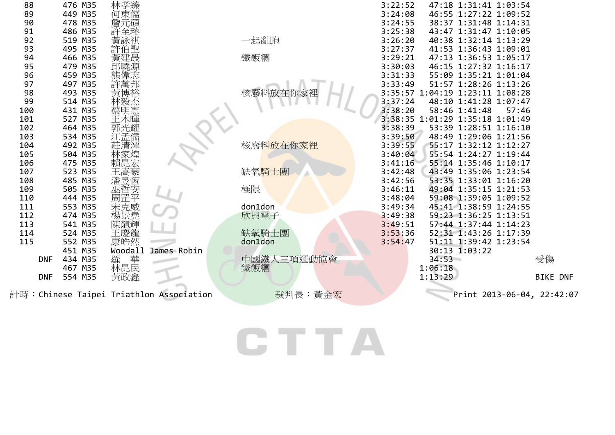| 88  |            | 476 M35 | 林孝臻                 |                                         |                   | 3:22:52 | 47:18 1:31:41 1:03:54           |                            |  |
|-----|------------|---------|---------------------|-----------------------------------------|-------------------|---------|---------------------------------|----------------------------|--|
| 89  |            | 449 M35 | 何東儒                 |                                         |                   | 3:24:08 | 46:55 1:27:22 1:09:52           |                            |  |
| 90  |            | 478 M35 | 詹元碩                 |                                         |                   | 3:24:55 | 38:37 1:31:48 1:14:31           |                            |  |
| 91  |            | 486 M35 | 許至璿                 |                                         |                   | 3:25:38 | 43:47 1:31:47 1:10:05           |                            |  |
| 92  |            | 519 M35 | 黃詠祺                 |                                         | 一起亂跑              | 3:26:20 | 40:38 1:32:14 1:13:29           |                            |  |
| 93  |            | 495 M35 |                     |                                         |                   | 3:27:37 | 41:53 1:36:43 1:09:01           |                            |  |
| 94  |            | 466 M35 | 許伯聖<br>黃建晟          |                                         | 鐵飯糰               | 3:29:21 | 47:13 1:36:53 1:05:17           |                            |  |
| 95  |            | 479 M35 |                     |                                         |                   | 3:30:03 | 46:15 1:27:32 1:16:17           |                            |  |
| 96  |            | 459 M35 |                     |                                         |                   | 3:31:33 | 55:09 1:35:21 1:01:04           |                            |  |
| 97  |            | 497 M35 |                     |                                         |                   | 3:33:49 | 51:57 1:28:26 1:13:26           |                            |  |
| 98  |            | 493 M35 |                     |                                         | 核廢料放在你家           |         | 3:35:57 1:04:19 1:23:11 1:08:28 |                            |  |
| 99  |            | 514 M35 |                     |                                         |                   | 3:37:24 | 48:10 1:41:28 1:07:47           |                            |  |
| 100 |            | 431 M35 |                     |                                         |                   | 3:38:20 | 58:46 1:41:48                   | 57:46                      |  |
| 101 |            | 527 M35 | 王木暉                 |                                         |                   |         | 3:38:35 1:01:29 1:35:18 1:01:49 |                            |  |
| 102 |            | 464 M35 | 郭光耀                 |                                         |                   | 3:38:39 | 53:39 1:28:51 1:16:10           |                            |  |
| 103 |            | 534 M35 | 江孟儒                 |                                         |                   | 3:39:50 | 48:49 1:29:06 1:21:56           |                            |  |
| 104 |            | 492 M35 | 莊清潭                 |                                         | 核廢料放在你家裡          | 3:39:55 | 55:17 1:32:12 1:12:27           |                            |  |
| 105 |            | 504 M35 | 林家煌                 |                                         |                   | 3:40:04 | 55:54 1:24:27 1:19:44           |                            |  |
| 106 |            | 475 M35 | 賴昆宏                 |                                         |                   | 3:41:16 | 55:14 1:35:46 1:10:17           |                            |  |
| 107 |            | 523 M35 |                     |                                         | 缺氧騎士團             | 3:42:48 | 43:49 1:35:06 1:23:54           |                            |  |
| 108 |            | 485 M35 | 王嵩豪<br>潘昱恆          |                                         |                   | 3:42:56 | 53:35 1:33:01 1:16:20           |                            |  |
| 109 |            | 505 M35 | 巫哲安<br>周罡平          |                                         | 極限                | 3:46:11 | 49:04 1:35:15 1:21:53           |                            |  |
| 110 |            | 444 M35 |                     |                                         |                   | 3:48:04 | 59:08 1:39:05 1:09:52           |                            |  |
| 111 |            | 553 M35 | 宋克威堯輝<br>陳景輝<br>陳龍輝 |                                         | don1don           | 3:49:34 | 45:41 1:38:59 1:24:55           |                            |  |
| 112 |            | 474 M35 |                     |                                         | 欣興電子              | 3:49:38 | 59:23 1:36:25 1:13:51           |                            |  |
| 113 |            | 541 M35 |                     |                                         |                   | 3:49:51 | 57:44 1:37:44 1:14:23           |                            |  |
| 114 |            | 524 M35 | 王慶龍                 |                                         | 缺氧騎士團             | 3:53:36 | 52:31 1:43:26 1:17:39           |                            |  |
| 115 |            | 552 M35 | 康皓然                 |                                         | don1don           | 3:54:47 | 51:11 1:39:42 1:23:54           |                            |  |
|     |            | 451 M35 | Woodall             | James Robin                             |                   |         | 30:13 1:03:22                   |                            |  |
|     | <b>DNF</b> | 434 M35 | 華<br>羅              |                                         | 中國鐵人三項運動協會<br>鐵飯糰 |         | 34:53                           | 受傷                         |  |
|     |            | 467 M35 | 林昆民                 |                                         |                   |         | 1:06:18                         |                            |  |
|     | <b>DNF</b> | 554 M35 | 黃政鑫                 |                                         |                   |         | 1:13:29                         | <b>BIKE DNF</b>            |  |
|     |            |         |                     | 計時:Chinese Taipei Triathlon Association | 裁判長:黃金宏           |         |                                 | Print 2013-06-04, 22:42:07 |  |
|     |            |         |                     |                                         |                   |         |                                 |                            |  |
|     |            |         |                     |                                         |                   |         |                                 |                            |  |
|     |            |         |                     |                                         |                   |         |                                 |                            |  |
|     |            |         |                     |                                         |                   |         |                                 |                            |  |

# **CTTA**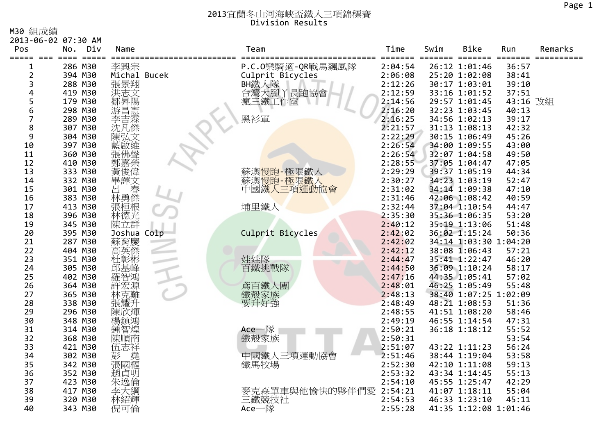M30 組成績

| Ⅳ29 紀灰線          | 2013-06-02 07:30 AM                    |              |                          |         |         |                       |                 |            |
|------------------|----------------------------------------|--------------|--------------------------|---------|---------|-----------------------|-----------------|------------|
| Pos              | Div<br>No.                             | Name         | Team                     | Time    | Swim    | <b>Bike</b>           | Run             | Remarks    |
| =====<br>$= = =$ | $=$ $=$ $=$ $=$ $=$<br>$=$ $=$ $=$ $=$ |              |                          | ====    | ======= | $=$<br>====           | $=$ = = = = = = | ========== |
| 1                | 286 M30                                | 李興宗          | P.C.0樂騎適-QR戰馬飆風隊         | 2:04:54 |         | 26:12 1:01:46         | 36:57           |            |
| 2                | 394 M30                                | Michal Bucek | Culprit Bicycles         | 2:06:08 |         | 25:20 1:02:08         | 38:41           |            |
| 3                | 288 M30                                | 張景翔          | BH鐵人隊                    | 2:12:26 |         | 30:17 1:03:01         | 39:10           |            |
| 4                | 419 M30                                | 洪志文          | 台灣大腳丫長跑協會                | 2:12:59 |         | 33:16 1:01:52         | 37:51           |            |
| 5                | 179 M30                                |              | 三鐵工作室<br>瘋               | 2:14:56 |         | 29:57 1:01:45         | 43:16 改組        |            |
| 6                | 298 M30                                |              |                          | 2:16:20 |         | 32:23 1:03:45         | 40:13           |            |
| 7                | 289 M30                                |              | 黑衫軍                      | 2:16:25 |         | 34:56 1:02:13         | 39:17           |            |
| 8                | 307 M30                                | 沈凡傑          |                          | 2:21:57 |         | 31:13 1:08:13         | 42:32           |            |
| 9                | 304 M30                                |              |                          | 2:22:29 |         | 30:15 1:06:49         | 45:26           |            |
| 10               | 397 M30                                |              |                          | 2:26:54 |         | 34:00 1:09:55         | 43:00           |            |
| 11               | 360 M30                                |              |                          | 2:26:54 |         | 32:07 1:04:58         | 49:50           |            |
| 12               | 410 M30                                |              |                          | 2:28:55 |         | 37:05 1:04:47         | 47:05           |            |
| 13               | 333 M30                                | 俊偉           | 蘇澳 <mark>慢跑-極</mark> 限鐵人 | 2:29:29 |         | 39:37 1:05:19         | 44:34           |            |
| 14               | 332 M30                                | 畢譯文          | 蘇澳 <mark>慢跑-極限鐵人</mark>  | 2:30:27 |         | 34:23 1:03:19         | 52:47           |            |
| 15               | 301 M30                                | 春<br>呂       | 中國鐵人<br>三項運動協會           | 2:31:02 |         | 34:14 1:09:38         | 47:10           |            |
| 16               | 383 M30                                | 林勇傑          |                          | 2:31:46 |         | 42:06 1:08:42         | 40:59           |            |
| 17               | 413 M30                                | 張桓根          | 埔里鐵人                     | 2:32:44 |         | 37:04 1:10:54         | 44:47           |            |
| 18               | 396 M30                                | 林德光          |                          | 2:35:30 |         | 35:36 1:06:35         | 53:20           |            |
| 19               | 345 M30                                | 陳立群          |                          | 2:40:12 |         | 35:19 1:13:06         | 51:48           |            |
| 20               | 395 M30                                | Joshua Colp  | Culprit Bicycles         | 2:42:02 |         | 36:02 1:15:24         | 50:36           |            |
| 21               | 287 M30                                | 蘇育慶          |                          | 2:42:02 |         | 34:14 1:03:30 1:04:20 |                 |            |
| 22               | 404 M30                                |              |                          | 2:42:12 |         | 38:08 1:06:43         | 57:21           |            |
| 23               | 351 M30                                | 杜彰彬          | 娃娃隊                      | 2:44:47 |         | 35:41 1:22:47         | 46:20           |            |
| 24               | 305 M30                                | 邱基峰          | 百鐵挑戰隊                    | 2:44:50 |         | 36:09 1:10:24         | 58:17           |            |
| 25               | 402 M30                                |              |                          | 2:47:16 |         | 44:35 1:05:41         | 57:02           |            |
| 26               | 364 M30                                | 許宏源          | 鳶百鐵人團                    | 2:48:01 |         | 46:25 1:05:49         | 55:48           |            |
| 27               | 365 M30                                | 林克難          | 鐵殼家族                     | 2:48:13 |         | 38:40 1:07:25 1:02:09 |                 |            |
| 28               | 338 M30                                |              | 要升好強                     | 2:48:49 |         | 48:21 1:08:53         | 51:36           |            |
| 29               | 296 M30                                | 陳欣煇          |                          | 2:48:55 |         | 41:51 1:08:20         | 58:46           |            |
| 30               | 348 M30                                | 楊鎮鴻          |                          | 2:49:19 |         | 46:55 1:14:54         | 47:31           |            |
| 31               | 314 M30                                |              | Ace一隊                    | 2:50:21 |         | 36:18 1:18:12         | 55:52           |            |
| 32               | 368 M30                                | 陳順南          | 鐵殼家族                     | 2:50:31 |         |                       | 53:54           |            |
| 33               | 421 M30                                | 伍志祥          |                          | 2:51:07 |         | 43:22 1:11:23         | 56:24           |            |
| 34               | 302 M30                                | 彭<br>堯       | 中國鐵人三項運動協會               | 2:51:46 |         | 38:44 1:19:04         | 53:58           |            |
| 35               | 342 M30                                | 張國樞          | 鐵馬牧場                     | 2:52:30 |         | 42:10 1:11:08         | 59:13           |            |
| 36               | 352 M30                                | 趙貞明          |                          | 2:53:32 |         | 43:34 1:14:45         | 55:13           |            |
| 37               | 423 M30                                | 朱逸倫          |                          | 2:54:10 |         | 45:55 1:25:47         | 42:29           |            |
| 38               | 417 M30                                | 李大綱          | 麥克森單車與他愉快的夥伴們愛           | 2:54:21 |         | 41:07 1:18:11         | 55:04           |            |
| 39               | 320 M30                                | 林紹輝          | 三鐵競技社                    | 2:54:53 |         | 46:33 1:23:10         | 45:11           |            |
| 40               | 343 M30                                | 倪可倫          | Ace一隊                    | 2:55:28 |         | 41:35 1:12:08 1:01:46 |                 |            |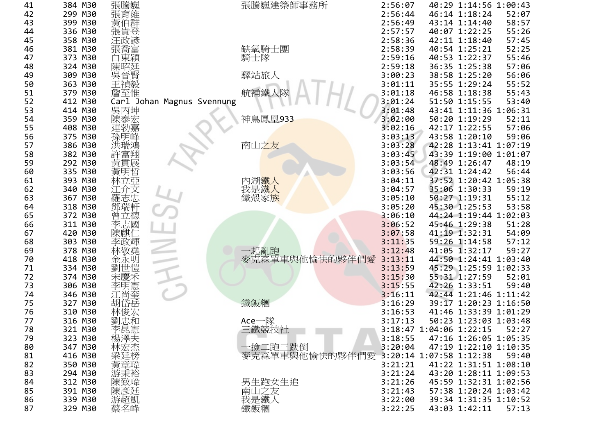| 41 | 384 M30 | 張騰巍                        | 張騰巍建築師事務所                              | 2:56:07 | 40:29 1:14:56 1:00:43   |       |
|----|---------|----------------------------|----------------------------------------|---------|-------------------------|-------|
| 42 | 299 M30 | 張育維                        |                                        | 2:56:44 | 46:14 1:18:24           | 52:07 |
| 43 | 399 M30 | 黃伯群                        |                                        | 2:56:49 | 43:14 1:14:40           | 58:57 |
| 44 | 336 M30 | 張貴登                        |                                        | 2:57:57 | 40:07 1:22:25           | 55:26 |
| 45 | 358 M30 | 汪政諺                        |                                        | 2:58:36 | 42:11 1:18:40           | 57:45 |
| 46 | 381 M30 | 張喬富                        | 缺氧騎士團                                  | 2:58:39 | 40:54 1:25:21           | 52:25 |
| 47 | 373 M30 | 白東穎                        | 騎士隊                                    | 2:59:16 | 40:53 1:22:37           | 55:46 |
| 48 | 324 M30 | 陳昭廷                        |                                        | 2:59:18 | 36:35 1:25:38           | 57:06 |
| 49 | 309 M30 | 吳晉賢                        | 驛站旅人                                   | 3:00:23 | 38:58 1:25:20           | 56:06 |
| 50 | 363 M30 | 王禎毅                        |                                        | 3:01:11 | 35:55 1:29:24           | 55:52 |
| 51 | 379 M30 | 詹至惟                        | 航補鐵人隊                                  | 3:01:18 | 46:58 1:18:38           | 55:43 |
| 52 | 412 M30 | Carl Johan Magnus Svennung |                                        | 3:01:24 | 51:50 1:15:55           | 53:40 |
| 53 | 414 M30 | 吳丙坤                        |                                        | 3:01:48 | 43:41 1:11:36 1:06:31   |       |
| 54 | 359 M30 | 陳泰宏                        | 神鳥鳳凰933                                | 3:02:00 | 50:20 1:19:29           | 52:11 |
| 55 | 408 M30 | 連勃嘉                        |                                        | 3:02:16 | 42:17 1:22:55           | 57:06 |
| 56 | 375 M30 | 孫明峰                        |                                        | 3:03:13 | 43:58 1:20:10           | 59:06 |
| 57 | 386 M30 |                            | 南山之友                                   | 3:03:28 | 42:28 1:13:41 1:07:19   |       |
| 58 | 382 M30 | 許富翔                        |                                        | 3:03:45 | 43:39 1:19:00 1:01:07   |       |
| 59 | 292 M30 | 黃貫展                        |                                        | 3:03:54 | 48:49 1:26:47           | 48:19 |
| 60 | 335 M30 | 黃明哲                        |                                        | 3:03:56 | 42:31 1:24:42           | 56:44 |
| 61 | 393 M30 | 林立亞                        |                                        | 3:04:11 | 37:52 1:20:42 1:05:38   |       |
| 62 | 340 M30 | 江介文                        | 內湖鐵人<br>我是鐵人<br>鐵殼家族                   | 3:04:57 | 35:06 1:30:33           | 59:19 |
| 63 | 367 M30 | 羅志忠                        |                                        | 3:05:10 | 50:27 1:19:31           | 55:12 |
| 64 | 318 M30 | 鄧瑞軒                        |                                        | 3:05:20 | 45:30 1:25:53           | 53:58 |
| 65 | 372 M30 | 曾立德                        |                                        | 3:06:10 | 44:24 1:19:44 1:02:03   |       |
| 66 | 311 M30 | 李志國                        |                                        | 3:06:52 | 45:46 1:29:38           | 51:28 |
| 67 | 420 M30 | 陳麒仁                        |                                        | 3:07:58 | 41:19 1:32:31           | 54:09 |
| 68 | 303 M30 | 李政輝                        |                                        | 3:11:35 | 59:26 1:14:58           | 57:12 |
| 69 | 378 M30 | 林敬堯                        |                                        | 3:12:48 | 41:05 1:32:17           | 59:27 |
| 70 | 418 M30 | 金永明                        | 一起亂跑<br>麥克森單車與他愉快的夥伴們愛                 | 3:13:11 | 44:50 1:24:41 1:03:40   |       |
| 71 | 334 M30 | 劉世愷                        |                                        | 3:13:59 | 45:29 1:25:59 1:02:33   |       |
| 72 | 374 M30 | 宋慶禾                        |                                        | 3:15:30 | 55:31 1:27:59           | 52:01 |
| 73 | 306 M30 | 李明憲                        |                                        | 3:15:55 | 42:26 1:33:51           | 59:40 |
| 74 | 346 M30 | 江尚奎                        |                                        | 3:16:11 | 42:44 1:21:46 1:11:42   |       |
| 75 | 327 M30 | 胡岱岳                        | 鐵飯糰                                    | 3:16:29 | 39:17 1:20:23 1:16:50   |       |
| 76 | 310 M30 | 林俊宏                        |                                        | 3:16:53 | 41:46 1:33:39 1:01:29   |       |
| 77 | 316 M30 | 劉忠和                        | Ace一隊                                  | 3:17:13 | 50:23 1:23:03 1:03:48   |       |
| 78 | 321 M30 | 『李楊林梁#『<br>『『天文<br>『『天文』   | 三鐵競技社                                  |         | 3:18:47 1:04:06 1:22:15 | 52:27 |
| 79 | 323 M30 |                            |                                        | 3:18:55 | 47:16 1:26:05 1:05:35   |       |
| 80 | 347 M30 |                            | 一撿二跑三跌倒                                | 3:20:04 | 47:19 1:22:10 1:10:35   |       |
| 81 | 416 M30 |                            | 麥克森單車與他愉快的夥伴們愛 3:20:14 1:07:58 1:12:38 |         |                         | 59:40 |
| 82 | 350 M30 | 黃章瑋                        |                                        | 3:21:21 | 41:22 1:31:51 1:08:10   |       |
| 83 | 294 M30 | 游秉裕                        |                                        | 3:21:24 | 43:20 1:28:11 1:09:53   |       |
| 84 | 312 M30 | 陳致瑋                        | 男生跑女生追                                 | 3:21:26 | 45:59 1:32:31 1:02:56   |       |
| 85 | 391 M30 |                            | 南山之友                                   | 3:21:43 | 57:38 1:20:24 1:03:42   |       |
| 86 | 339 M30 | 陳彥廷                        |                                        | 3:22:00 | 39:34 1:31:35 1:10:52   |       |
| 87 | 329 M30 | 蔡名峰                        | 我是鐵人<br>鐵飯糰                            | 3:22:25 | 43:03 1:42:11           | 57:13 |
|    |         |                            |                                        |         |                         |       |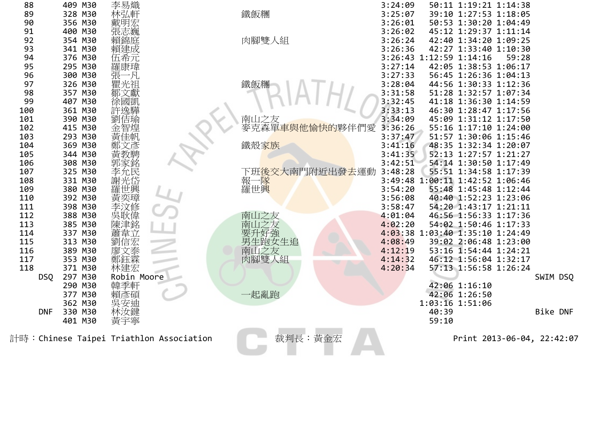| 88         | 409 M30 | 李易熾                                     |                                       | 3:24:09 | 50:11 1:19:21 1:14:38           |       |          |
|------------|---------|-----------------------------------------|---------------------------------------|---------|---------------------------------|-------|----------|
| 89         | 328 M30 | 林弘軒                                     | 鐵飯糰                                   | 3:25:07 | 39:10 1:27:53 1:18:05           |       |          |
| 90         | 356 M30 |                                         |                                       | 3:26:01 | 50:53 1:30:20 1:04:49           |       |          |
| 91         | 400 M30 | 張志巍                                     |                                       | 3:26:02 | 45:12 1:29:37 1:11:14           |       |          |
| 92         | 354 M30 | 賴錦庭                                     | 肉腳雙人組                                 | 3:26:24 | 42:40 1:34:20 1:09:25           |       |          |
| 93         | 341 M30 | 賴建成                                     |                                       | 3:26:36 | 42:27 1:33:40 1:10:30           |       |          |
| 94         | 376 M30 | 伍希元                                     |                                       |         | 3:26:43 1:12:59 1:14:16         | 59:28 |          |
| 95         | 295 M30 | 羅康瑋                                     |                                       | 3:27:14 | 42:05 1:38:53 1:06:17           |       |          |
| 96         | 300 M30 | 一凡                                      |                                       | 3:27:33 | 56:45 1:26:36 1:04:13           |       |          |
| 97         | 326 M30 | 瞿光祖                                     | 鐵飯糰                                   | 3:28:04 | 44:56 1:30:33 1:12:36           |       |          |
| 98         | 357 M30 |                                         |                                       | 3:31:58 | 51:28 1:32:57 1:07:34           |       |          |
| 99         | 407 M30 |                                         |                                       | 3:32:45 | 41:18 1:36:30 1:14:59           |       |          |
| 100        | 361 M30 |                                         |                                       | 3:33:13 | 46:30 1:28:47 1:17:56           |       |          |
| 101        | 390 M30 | 佶瑜                                      |                                       | 3:34:09 | 45:09 1:31:12 1:17:50           |       |          |
| 102        | 415 M30 | 智煌                                      | 南山之友<br>麥克森單 <mark>車與他愉快的</mark> 夥伴們愛 | 3:36:26 | 55:16 1:17:10 1:24:00           |       |          |
| 103        | 293 M30 |                                         |                                       | 3:37:47 | 51:57 1:30:06 1:15:46           |       |          |
| 104        | 369 M30 | 黃佳帆<br>鄭文彥                              | 鐵殼家族                                  | 3:41:16 | 48:35 1:32:34 1:20:07           |       |          |
| 105        | 344 M30 |                                         |                                       | 3:41:35 | 52:13 1:27:57 1:21:27           |       |          |
| 106        | 308 M30 | 郭家銘                                     |                                       | 3:42:51 | 54:14 1:30:50 1:17:49           |       |          |
| 107        | 325 M30 | 李允民                                     | 下班後交大南門附近出發 <del>去</del> 運動           | 3:48:28 | 55:51 1:34:58 1:17:39           |       |          |
| 108        | 331 M30 | 謝光岱                                     | 報一隊<br>羅世興                            |         | 3:49:48 1:00:11 1:42:52 1:06:46 |       |          |
| 109        | 380 M30 | 羅世興                                     |                                       | 3:54:20 | 55:48 1:45:48 1:12:44           |       |          |
| 110        | 392 M30 |                                         |                                       | 3:56:08 | 40:40 1:52:23 1:23:06           |       |          |
| 111        | 398 M30 | 文修                                      |                                       | 3:58:47 | 54:20 1:43:17 1:21:11           |       |          |
| 112        | 388 M30 | 吳耿偉                                     | 南山之友                                  | 4:01:04 | 46:56 1:56:33 1:17:36           |       |          |
| 113        | 385 M30 | 陳津銘                                     | 之友<br>南山                              | 4:02:20 | 54:02 1:50:46 1:17:33           |       |          |
| 114        | 337 M30 | 蕭韋立                                     | 好強                                    |         | 4:03:38 1:03:40 1:35:10 1:24:49 |       |          |
| 115        | 313 M30 | 劉信宏                                     | 生跑女生追                                 | 4:08:49 | 39:02 2:06:48 1:23:00           |       |          |
| 116        | 389 M30 | 文泰                                      | 南山之友                                  | 4:12:19 | 53:16 1:54:44 1:24:21           |       |          |
| 117        | 353 M30 | 鄭鈺霖                                     | 肉腳雙人組                                 | 4:14:32 | 46:12 1:56:04 1:32:17           |       |          |
| 118        | 371 M30 | 林建宏                                     |                                       | 4:20:34 | 57:13 1:56:58 1:26:24           |       |          |
| DSQ        | 297 M30 | Robin Moore                             |                                       |         |                                 |       | SWIM DSQ |
|            | 290 M30 | 韓季軒                                     |                                       |         | 42:06 1:16:10                   |       |          |
|            | 377 M30 | 賴彥碩                                     | ·起亂跑                                  |         | 42:06 1:26:50                   |       |          |
|            | 362 M30 | 吳安迪                                     |                                       |         | 1:03:16 1:51:06                 |       |          |
| <b>DNF</b> | 330 M30 | 林汝鍵                                     |                                       |         | 40:39                           |       | Bike DNF |
|            | 401 M30 | 黃宇寧                                     |                                       |         | 59:10                           |       |          |
|            |         | 計時:Chinese Taipei Triathlon Association | 裁判長:黃金宏                               |         | Print 2013-06-04, 22:42:07      |       |          |
|            |         |                                         |                                       |         |                                 |       |          |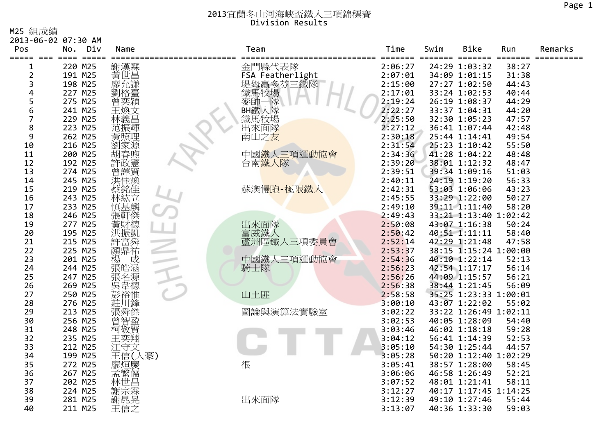M25 組成績

|                | 2013-06-02 07:30 AM           |               |                  |                                    |             |                                |                  |         |
|----------------|-------------------------------|---------------|------------------|------------------------------------|-------------|--------------------------------|------------------|---------|
| Pos<br>=====   | No.<br>Div<br>$=$ $=$ $=$ $=$ | Name          | Team             | Time                               | Swim        | <b>Bike</b>                    | Run              | Remarks |
| 1              | 220 M25                       | 謝漢霖           | 金門縣代表隊           | $=$ $=$ $=$ $=$ $=$ $=$<br>2:06:27 | -------- -- | =====<br>24:29 1:03:32         | =======<br>38:27 |         |
| 2              | 191 M25                       | 黃世昌           | FSA Featherlight | 2:07:01                            |             | 34:09 1:01:15                  | 31:38            |         |
| 3              | 198 M25                       | 廖允謙           |                  | 2:15:00                            |             | 27:27 1:02:50                  | 44:43            |         |
| 4              | 227 M25                       | 劉格臺           | 堤姆贏多芬三鐵隊<br>鐵馬牧場 | 2:17:01                            |             | 33:24 1:02:53                  | 40:44            |         |
| 5              | 275 M25                       | 曾奕穎           | 麥帥<br>隊          | 2:19:24                            |             | 26:19 1:08:37                  | 44:29            |         |
| 6              | 241 M25                       | 王煥文           | BH鐵人隊            | 2:22:27                            |             | 33:37 1:04:31                  | 44:20            |         |
| $\overline{7}$ | 229 M25                       |               | 鐵馬牧場             | 2:25:50                            |             | 32:30 1:05:23                  | 47:57            |         |
| 8              | 223 M25                       | 范振輝           | 出來面隊             | 2:27:12                            |             | 36:41 1:07:44                  | 42:48            |         |
| 9              | 262 M25                       | 黃照理           | 南山之友             | 2:30:18                            |             | 25:44 1:14:41                  | 49:54            |         |
| 10             | 216 M25                       | 家源            |                  | 2:31:54                            |             | 25:23 1:10:42                  | 55:50            |         |
| 11             | 200 M25                       | 胡春煦           | 中國鐵人三項運動協會       | 2:34:36                            |             | 41:28 1:04:22                  | 48:48            |         |
| 12             | 192 M25                       | 許政憲           | 台南鐵人隊            | 2:39:20                            |             | 38:01 1:12:32                  | 48:47            |         |
| 13             | 274 M25                       | 曾譯賢           |                  | 2:39:51                            |             | 39:34 1:09:16                  | 51:03            |         |
| 14             | 245 M25                       | 洪佳煥           |                  | 2:40:11                            |             | 24:19 1:19:20                  | 56:33            |         |
| 15             | 219 M25                       | 蔡銘佳           | 蘇澳慢跑-極限鐵人        | 2:42:31                            |             | 53:03 1:06:06                  | 43:23            |         |
| 16             | 243 M25                       | 林紘立           |                  | 2:45:55                            |             | 33:29 1:22:00                  | 50:27            |         |
| 17             | 233 M25                       | 慎基麟           |                  | 2:49:10                            |             | 39:11 1:11:40                  | 58:20            |         |
| 18             | 246 M25                       | 張軒傑           |                  | 2:49:43                            |             | 33:21 1:13:40 1:02:42          |                  |         |
| 19             | 277 M25                       | 黃財德           | 出來面隊             | 2:50:08                            |             | 43:07 1:16:38                  | 50:24            |         |
| 20             | 195 M25                       | 洪振凱           | 富威鐵人             | 2:50:42                            |             | 40:51 1:11:11                  | 58:40            |         |
| 21             | 215 M25                       | 許富舜           | 蘆洲區鐵人三項委員會       | 2:52:14                            |             | 42:29 1:21:48                  | 47:58            |         |
| 22             | 225 M25                       | 讀鼎祐<br>楊<br>楊 |                  | 2:53:37                            |             | 38:15 1:15:24 1:00:00          |                  |         |
| 23             | 201 M25                       |               | 中國鐵人三項運動協會       | 2:54:36                            |             | 40:10 1:22:14                  | 52:13            |         |
| 24<br>25       | 244 M25                       | 張皓涵           | 騎士隊              | 2:56:23                            |             | 42:54 1:17:17                  | 56:14<br>56:21   |         |
| 26             | 247 M25<br>269 M25            | 張名源           |                  | 2:56:26<br>2:56:38                 |             | 44:09 1:15:57<br>38:44 1:21:45 | 56:09            |         |
| 27             | 250 M25                       | 吳韋德           | 山土匪              | 2:58:58                            |             | 35:25 1:23:33 1:00:01          |                  |         |
| 28             | 276 M25                       | 彭裕惟<br>莊      |                  | 3:00:10                            |             | 43:07 1:22:02                  | 55:02            |         |
| 29             | 213 M25                       | 張舜傑           | 圖論與演算法實驗室        | 3:02:22                            |             | 33:22 1:26:49 1:02:11          |                  |         |
| 30             | 256 M25                       |               |                  | 3:02:53                            |             | 40:05 1:28:09                  | 54:40            |         |
| 31             | 248 M25                       | 普智盈<br>柯敬賢    |                  | 3:03:46                            |             | 46:02 1:18:18                  | 59:28            |         |
| 32             | 235 M25                       | 王奕翔           |                  | 3:04:12                            |             | 56:41 1:14:39                  | 52:53            |         |
| 33             | 212 M25                       | 江守文           |                  | 3:05:10                            |             | 54:30 1:25:44                  | 44:57            |         |
| 34             | 199 M25                       | 王信(人豪)        |                  | 3:05:28                            |             | 50:20 1:12:40 1:02:29          |                  |         |
| 35             | 272 M25                       | 廖烜慶           | 很                | 3:05:41                            |             | 38:57 1:28:00                  | 58:45            |         |
| 36             | 267 M25                       | 孟繁儒           |                  | 3:06:06                            |             | 46:58 1:26:49                  | 52:21            |         |
| 37             | 202 M25                       | 林世昌           |                  | 3:07:52                            |             | 48:01 1:21:41                  | 58:11            |         |
| 38             | 224 M25                       | 謝宗霖           |                  | 3:12:27                            |             | 40:17 1:17:45 1:14:25          |                  |         |
| 39             | 281 M25                       | 謝昆晃           | 出來面隊             | 3:12:39                            |             | 49:10 1:27:46                  | 55:44            |         |
| 40             | 211 M25                       | 王信之           |                  | 3:13:07                            |             | 40:36 1:33:30                  | 59:03            |         |
|                |                               |               |                  |                                    |             |                                |                  |         |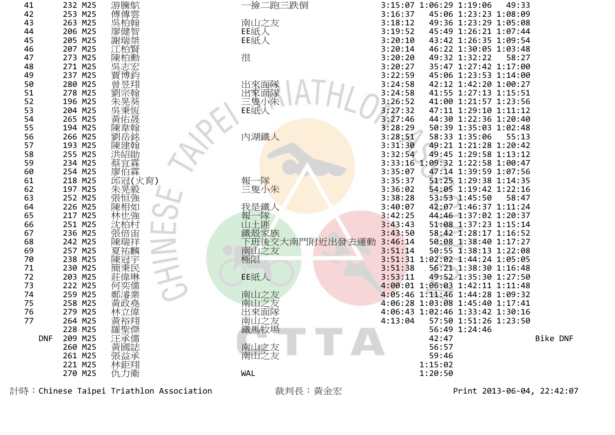| 41         | 232 M25 | 游騰鴥                                     | 一撿二跑三跌倒        | 3:15:07 1:06:29 1:19:06<br>49:33  |          |
|------------|---------|-----------------------------------------|----------------|-----------------------------------|----------|
| 42         | 253 M25 | 傅傳雲                                     |                | 45:06 1:23:23 1:08:09<br>3:16:37  |          |
| 43         | 263 M25 | 泊翰<br>吳                                 | 南山之友           | 49:36 1:23:29 1:05:08<br>3:18:12  |          |
| 44         | 206 M25 | 廖健智                                     | EE紙人           | 3:19:52<br>45:49 1:26:21 1:07:44  |          |
| 45         | 205 M25 | 謝瑞桀                                     | EE紙人           | 3:20:10<br>43:42 1:26:35 1:09:54  |          |
| 46         | 207 M25 |                                         |                | 3:20:14<br>46:22 1:30:05 1:03:48  |          |
| 47         | 273 M25 | 白勲<br>頌                                 | 很              | 3:20:20<br>58:27<br>49:32 1:32:22 |          |
| 48         | 271 M25 |                                         |                | 3:20:27<br>35:47 1:27:42 1:17:00  |          |
| 49         | 237 M25 | 曺<br>博鈞                                 |                | 3:22:59<br>45:06 1:23:53 1:14:00  |          |
| 50         | 280 M25 | 凾<br>昱翔                                 | 出來面隊           | 3:24:58<br>42:12 1:42:20 1:00:27  |          |
| 51         | 278 M25 |                                         | 出來面隊           | 3:24:58<br>41:55 1:27:13 1:15:51  |          |
| 52         | 196 M25 |                                         |                | 3:26:52<br>41:00 1:21:57 1:23:56  |          |
| 53         | 204 M25 | 呉                                       | 三隻小朱<br>EE紙人   | 3:27:32<br>47:11 1:29:10 1:11:12  |          |
| 54         | 265 M25 | 佑晟                                      |                | 3:27:46<br>44:30 1:22:36 1:20:40  |          |
| 55         | 194 M25 |                                         |                | 3:28:29<br>50:39 1:35:03 1:02:48  |          |
| 56         | 266 M25 |                                         | 內湖鐵人           | 3:28:51<br>55:13<br>58:33 1:35:06 |          |
| 57         | 193 M25 | 建翰                                      |                | 3:31:30<br>49:21 1:21:28 1:20:42  |          |
| 58         | 255 M25 | 洪紹勛                                     |                | 3:32:54<br>49:45 1:29:58 1:13:12  |          |
| 59         | 234 M25 | 宜霖                                      |                | 3:33:16 1:09:32 1:22:58 1:00:47   |          |
| 60         | 254 M25 | 廖伯霖                                     |                | 3:35:07<br>47:14 1:39:59 1:07:56  |          |
| 61         | 218 M25 | 邱冠(火育)                                  | 報一隊            | 3:35:37<br>51:25 1:29:38 1:14:35  |          |
| 62         | 197 M25 | 朱晃毅                                     | 三隻小朱           | 54:05 1:19:42 1:22:16<br>3:36:02  |          |
| 63         | 252 M25 | 張恒強                                     |                | 3:38:28<br>53:53 1:45:50<br>58:47 |          |
| 64         | 226 M25 | 陳相如                                     | 我是鐵人           | 3:40:07<br>42:07 1:46:37 1:11:24  |          |
| 65         | 217 M25 | 林也強                                     | 報<br>一隊        | 3:42:25<br>44:46 1:37:02 1:20:37  |          |
| 66         | 251 M25 | 沈柏村                                     | 山土匪            | 3:43:43<br>51:08 1:37:23 1:15:14  |          |
| 67         | 236 M25 | 張倍宙                                     | 鐵殼家族           | 3:43:50<br>58:42 1:28:17 1:16:52  |          |
| 68         | 242 M25 |                                         | 下班後交大南門附近出發去運動 | 3:46:14<br>50:08 1:38:40 1:17:27  |          |
| 69         | 257 M25 | 夏祐麟                                     | 南山之友           | 3:51:14<br>50:55 1:38:13 1:22:08  |          |
| 70         | 238 M25 | 陳冠宇                                     | 極限             | 3:51:31 1:02:02 1:44:24 1:05:05   |          |
| 71         | 230 M25 | 簡秉民                                     |                | 3:51:38<br>56:21 1:38:30 1:16:48  |          |
| 72         | 203 M25 | 莊偉琳                                     | EE紙人           | 3:53:11<br>49:52 1:35:30 1:27:50  |          |
| 73         | 222 M25 | 奕儒<br>何                                 |                | 4:00:01 1:06:03 1:42:11 1:11:48   |          |
| 74         | 259 M25 |                                         | 南山之友           | 4:05:46 1:11:46 1:44:28 1:09:32   |          |
| 75         | 258 M25 | 黃政堯                                     | 南山之友           | 4:06:28 1:03:08 1:45:40 1:17:41   |          |
| 76         | 279 M25 |                                         | 出來面隊           | 4:06:43 1:02:46 1:33:42 1:30:16   |          |
| 77         | 264 M25 | 黃裕翔                                     | 南山之友           | 4:13:04<br>57:50 1:51:26 1:23:50  |          |
|            | 228 M25 | 羅聖傑                                     | 鐵馬牧場           | 56:49 1:24:46                     |          |
| <b>DNF</b> | 209 M25 |                                         |                | 42:47                             | Bike DNF |
|            | 260 M25 | 國誌                                      | 南山之友           | 56:57                             |          |
|            | 261 M25 | 張益承                                     | 南山之友           | 59:46                             |          |
|            | 221 M25 | 林鉅翔                                     |                | 1:15:02                           |          |
|            | 270 M25 | 仇力衛                                     | WAL            | 1:20:50                           |          |
|            |         | 計時:Chinese Taipei Triathlon Association | 裁判長:黃金宏        | Print 2013-06-04, 22:42:07        |          |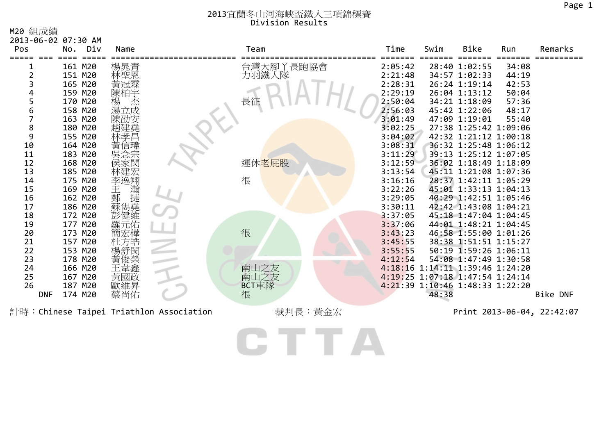M20 組成績

| Pos                                                                                                                                   | No.                                                                                                                                                                                                                                                       | Div | Name                                                                                 |                                         | Team                                        | Time                                                                                                                                                                                                                                                      | Swim  | Bike                                                                                                                                                                                                                                                                                                                                                                                                                                                                                                                                | Run                                                         | Remarks                                       |
|---------------------------------------------------------------------------------------------------------------------------------------|-----------------------------------------------------------------------------------------------------------------------------------------------------------------------------------------------------------------------------------------------------------|-----|--------------------------------------------------------------------------------------|-----------------------------------------|---------------------------------------------|-----------------------------------------------------------------------------------------------------------------------------------------------------------------------------------------------------------------------------------------------------------|-------|-------------------------------------------------------------------------------------------------------------------------------------------------------------------------------------------------------------------------------------------------------------------------------------------------------------------------------------------------------------------------------------------------------------------------------------------------------------------------------------------------------------------------------------|-------------------------------------------------------------|-----------------------------------------------|
| 2013-06-02 07:30 AM<br>3<br>4<br>5<br>6<br>8<br>9<br>10<br>11<br>12<br>13<br>14<br>15<br>16<br>17<br>18<br>19<br>20<br>21<br>22<br>23 | 161 M20<br>151 M20<br>165 M20<br>159 M20<br>170 M20<br>158 M20<br>163 M20<br>180 M20<br>155 M20<br>164 M20<br>183 M20<br>168 M20<br>185 M20<br>175 M20<br>169 M20<br>162 M20<br>186 M20<br>172 M20<br>177 M20<br>173 M20<br>157 M20<br>153 M20<br>178 M20 |     | 楊晁青<br>林聖恩<br>寅冠霖<br>陳柏宇<br>楊<br>湯立成<br>陳劭安<br>李逸翔<br>·王鄭蘇<br>藤<br>藤<br>藤<br>藤<br>方皓 |                                         | 台灣大腳丫長跑協會<br>力羽鐵人隊<br>長征<br>運休老屁股<br>很<br>很 | 2:05:42<br>2:21:48<br>2:28:31<br>2:29:19<br>2:50:04<br>2:56:03<br>3:01:49<br>3:02:25<br>3:04:02<br>3:08:31<br>3:11:29<br>3:12:59<br>3:13:54<br>3:16:16<br>3:22:26<br>3:29:05<br>3:30:11<br>3:37:05<br>3:37:06<br>3:43:23<br>3:45:55<br>3:55:55<br>4:12:54 |       | 28:40 1:02:55<br>34:57 1:02:33<br>26:24 1:19:14<br>26:04 1:13:12<br>34:21 1:18:09<br>45:42 1:22:06<br>47:09 1:19:01<br>27:38 1:25:42 1:09:06<br>42:32 1:21:12 1:00:18<br>36:32 1:25:48 1:06:12<br>39:13 1:25:12 1:07:05<br>36:02 1:18:49 1:18:09<br>45:11 1:21:08 1:07:36<br>28:37 1:42:11 1:05:29<br>45:01 1:33:13 1:04:13<br>40:29 1:42:51 1:05:46<br>42:42 1:43:08 1:04:21<br>45:18 1:47:04 1:04:45<br>44:01 1:48:21 1:04:45<br>46:58 1:55:00 1:01:26<br>38:38 1:51:51 1:15:27<br>50:19 1:59:26 1:06:11<br>54:08 1:47:49 1:30:58 | 34:08<br>44:19<br>42:53<br>50:04<br>57:36<br>48:17<br>55:40 |                                               |
| 24<br>25<br>26                                                                                                                        | 166 M20<br>167 M20<br>187 M20                                                                                                                                                                                                                             |     | 韋鑫<br>黃國政<br>歐維昇                                                                     |                                         | 南山之友<br>南山之友<br>BCT車隊                       |                                                                                                                                                                                                                                                           |       | 4:18:16 1:14:11 1:39:46 1:24:20<br>4:19:25 1:07:18 1:47:54 1:24:14<br>4:21:39 1:10:46 1:48:33 1:22:20                                                                                                                                                                                                                                                                                                                                                                                                                               |                                                             |                                               |
| <b>DNF</b>                                                                                                                            | 174 M20                                                                                                                                                                                                                                                   |     | 蔡尚佑                                                                                  | 計時:Chinese Taipei Triathlon Association | 很<br>裁判長:黃金宏                                |                                                                                                                                                                                                                                                           | 48:38 |                                                                                                                                                                                                                                                                                                                                                                                                                                                                                                                                     |                                                             | <b>Bike DNF</b><br>Print 2013-06-04, 22:42:07 |
|                                                                                                                                       |                                                                                                                                                                                                                                                           |     |                                                                                      |                                         |                                             |                                                                                                                                                                                                                                                           |       |                                                                                                                                                                                                                                                                                                                                                                                                                                                                                                                                     |                                                             |                                               |